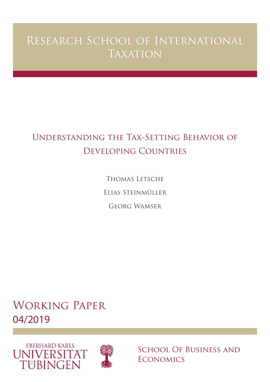# Research School of International **TAXATION**

# Understanding the Tax-Setting Behavior of Developing Countries

Thomas Letsche Elias Steinmüller Georg Wamser

Working Paper 04/2019





School Of Business and **ECONOMICS**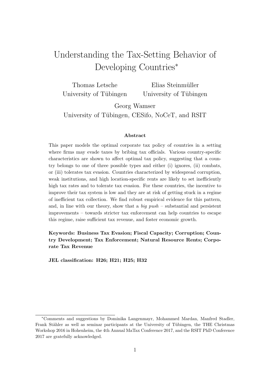# Understanding the Tax-Setting Behavior of Developing Countries<sup>∗</sup>

| Thomas Letsche         | Elias Steinmüller      |
|------------------------|------------------------|
| University of Tübingen | University of Tübingen |

Georg Wamser

University of Tübingen, CESifo, NoCeT, and RSIT

#### Abstract

This paper models the optimal corporate tax policy of countries in a setting where firms may evade taxes by bribing tax officials. Various country-specific characteristics are shown to affect optimal tax policy, suggesting that a country belongs to one of three possible types and either (i) ignores, (ii) combats, or (iii) tolerates tax evasion. Countries characterized by widespread corruption, weak institutions, and high location-specific rents are likely to set inefficiently high tax rates and to tolerate tax evasion. For these countries, the incentive to improve their tax system is low and they are at risk of getting stuck in a regime of inefficient tax collection. We find robust empirical evidence for this pattern, and, in line with our theory, show that a big  $push$  – substantial and persistent improvements – towards stricter tax enforcement can help countries to escape this regime, raise sufficient tax revenue, and foster economic growth.

Keywords: Business Tax Evasion; Fiscal Capacity; Corruption; Country Development; Tax Enforcement; Natural Resource Rents; Corporate Tax Revenue

JEL classification: H26; H21; H25; H32

<sup>∗</sup>Comments and suggestions by Dominika Langenmayr, Mohammed Mardan, Manfred Stadler, Frank Stähler as well as seminar participants at the University of Tübingen, the THE Christmas Workshop 2016 in Hohenheim, the 4th Annual MaTax Conference 2017, and the RSIT PhD Conference 2017 are gratefully acknowledged.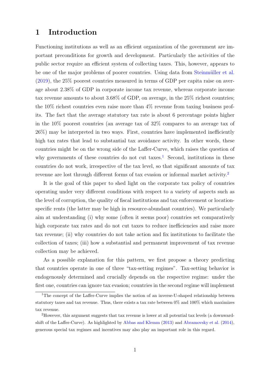### 1 Introduction

Functioning institutions as well as an efficient organization of the government are important preconditions for growth and development. Particularly the activities of the public sector require an efficient system of collecting taxes. This, however, appears to be one of the major problems of poorer countries. Using data from Steinmüller et al. [\(2019\)](#page-34-0), the 25% poorest countries measured in terms of GDP per capita raise on average about 2.38% of GDP in corporate income tax revenue, whereas corporate income tax revenue amounts to about 3.68% of GDP, on average, in the 25% richest countries; the  $10\%$  richest countries even raise more than  $4\%$  revenue from taxing business profits. The fact that the average statutory tax rate is about 6 percentage points higher in the 10% poorest countries (an average tax of 32% compares to an average tax of 26%) may be interpreted in two ways. First, countries have implemented inefficiently high tax rates that lead to substantial tax avoidance activity. In other words, these countries might be on the wrong side of the Laffer-Curve, which raises the question of why governments of these countries do not cut taxes.<sup>[1](#page-2-0)</sup> Second, institutions in these countries do not work, irrespective of the tax level, so that significant amounts of tax revenue are lost through different forms of tax evasion or informal market activity.[2](#page-2-1)

It is the goal of this paper to shed light on the corporate tax policy of countries operating under very different conditions with respect to a variety of aspects such as the level of corruption, the quality of fiscal institutions and tax enforcement or locationspecific rents (the latter may be high in resource-abundant countries). We particularly aim at understanding (i) why some (often it seems poor) countries set comparatively high corporate tax rates and do not cut taxes to reduce inefficiencies and raise more tax revenue; (ii) why countries do not take action and fix institutions to facilitate the collection of taxes; (iii) how a substantial and permanent improvement of tax revenue collection may be achieved.

As a possible explanation for this pattern, we first propose a theory predicting that countries operate in one of three "tax-setting regimes". Tax-setting behavior is endogenously determined and crucially depends on the respective regime: under the first one, countries can ignore tax evasion; countries in the second regime will implement

<span id="page-2-0"></span><sup>&</sup>lt;sup>1</sup>The concept of the Laffer-Curve implies the notion of an inverse-U-shaped relationship between statutory taxes and tax revenue. Thus, there exists a tax rate between 0% and 100% which maximizes tax revenue.

<span id="page-2-1"></span><sup>2</sup>However, this argument suggests that tax revenue is lower at all potential tax levels (a downwardshift of the Laffer-Curve). As highlighted by [Abbas and Klemm](#page-30-0) [\(2013\)](#page-30-0) and [Abramovsky et al.](#page-30-1) [\(2014\)](#page-30-1), generous special tax regimes and incentives may also play an important role in this regard.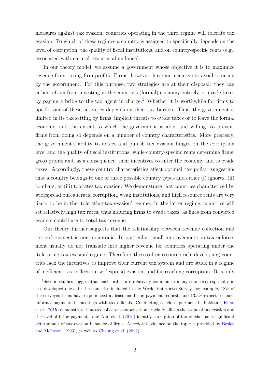measures against tax evasion; countries operating in the third regime will tolerate tax evasion. To which of these regimes a country is assigned to specifically depends on the level of corruption, the quality of fiscal institutions, and on country-specific rents (e.g., associated with natural resource abundance).

In our theory model, we assume a government whose objective it is to maximize revenue from taxing firm profits. Firms, however, have an incentive to avoid taxation by the government. For this purpose, two strategies are at their disposal: they can either refrain from investing in the country's (formal) economy entirely, or evade taxes by paying a bribe to the tax agent in charge.[3](#page-3-0) Whether it is worthwhile for firms to opt for one of these activities depends on their tax burden. Thus, the government is limited in its tax setting by firms' implicit threats to evade taxes or to leave the formal economy, and the extent to which the government is able, and willing, to prevent firms from doing so depends on a number of country characteristics. More precisely, the government's ability to detect and punish tax evasion hinges on the corruption level and the quality of fiscal institutions, while country-specific rents determine firms' gross profits and, as a consequence, their incentives to enter the economy and to evade taxes. Accordingly, these country characteristics affect optimal tax policy, suggesting that a country belongs to one of three possible country types and either (i) ignores, (ii) combats, or (iii) tolerates tax evasion. We demonstrate that countries characterized by widespread bureaucratic corruption, weak institutions, and high resource rents are very likely to be in the 'tolerating-tax-evasion' regime. In the latter regime, countries will set relatively high tax rates, thus inducing firms to evade taxes, as fines from convicted evaders contribute to total tax revenue.

Our theory further suggests that the relationship between revenue collection and tax enforcement is non-monotonic. In particular, small improvements on tax enforcement usually do not translate into higher revenue for countries operating under the 'tolerating-tax-evasion' regime. Therefore, these (often resource-rich, developing) countries lack the incentives to improve their current tax system and are stuck in a regime of inefficient tax collection, widespread evasion, and far-reaching corruption. It is only

<span id="page-3-0"></span><sup>3</sup>Several studies suggest that such bribes are relatively common in many countries, especially in less developed ones. In the countries included in the World Enterprise Survey, for example, 18% of the surveyed firms have experienced at least one bribe payment request, and 13.3% expect to make informal payments in meetings with tax officials. Conducting a field experiment in Pakistan, [Khan](#page-33-0) [et al.](#page-33-0) [\(2015\)](#page-33-0) demonstrate that tax collector compensation crucially affects the scope of tax evasion and the level of bribe payments, and [Alm et al.](#page-30-2) [\(2016\)](#page-30-2) identify corruption of tax officials as a significant determinant of tax evasion behavior of firms. Anecdotal evidence on the topic is provided by [Besley](#page-30-3) [and McLaren](#page-30-3) [\(1993\)](#page-30-3), as well as [Cheung et al.](#page-31-0) [\(2012\)](#page-31-0).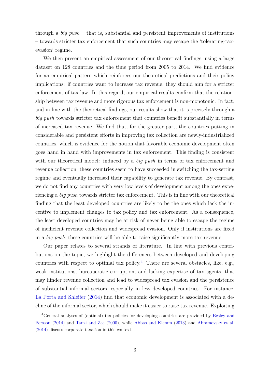through a big push – that is, substantial and persistent improvements of institutions – towards stricter tax enforcement that such countries may escape the 'tolerating-taxevasion' regime.

We then present an empirical assessment of our theoretical findings, using a large dataset on 128 countries and the time period from 2005 to 2014. We find evidence for an empirical pattern which reinforces our theoretical predictions and their policy implications: if countries want to increase tax revenue, they should aim for a stricter enforcement of tax law. In this regard, our empirical results confirm that the relationship between tax revenue and more rigorous tax enforcement is non-monotonic. In fact, and in line with the theoretical findings, our results show that it is precisely through a big push towards stricter tax enforcement that countries benefit substantially in terms of increased tax revenue. We find that, for the greater part, the countries putting in considerable and persistent efforts in improving tax collection are newly-industrialized countries, which is evidence for the notion that favorable economic development often goes hand in hand with improvements in tax enforcement. This finding is consistent with our theoretical model: induced by a *big push* in terms of tax enforcement and revenue collection, these countries seem to have succeeded in switching the tax-setting regime and eventually increased their capability to generate tax revenue. By contrast, we do not find any countries with very low levels of development among the ones experiencing a big push towards stricter tax enforcement. This is in line with our theoretical finding that the least developed countries are likely to be the ones which lack the incentive to implement changes to tax policy and tax enforcement. As a consequence, the least developed countries may be at risk of never being able to escape the regime of inefficient revenue collection and widespread evasion. Only if institutions are fixed in a big push, these countries will be able to raise significantly more tax revenue.

Our paper relates to several strands of literature. In line with previous contributions on the topic, we highlight the differences between developed and developing countries with respect to optimal tax policy.<sup>[4](#page-4-0)</sup> There are several obstacles, like, e.g., weak institutions, bureaucratic corruption, and lacking expertise of tax agents, that may hinder revenue collection and lead to widespread tax evasion and the persistence of substantial informal sectors, especially in less developed countries. For instance, [La Porta and Shleifer](#page-33-1) [\(2014\)](#page-33-1) find that economic development is associated with a decline of the informal sector, which should make it easier to raise tax revenue. Exploiting

<span id="page-4-0"></span><sup>4</sup>General analyses of (optimal) tax policies for developing countries are provided by [Besley and](#page-30-4) [Persson](#page-30-4) [\(2014\)](#page-30-4) and [Tanzi and Zee](#page-34-1) [\(2000\)](#page-34-1), while [Abbas and Klemm](#page-30-0) [\(2013\)](#page-30-0) and [Abramovsky et al.](#page-30-1) [\(2014\)](#page-30-1) discuss corporate taxation in this context.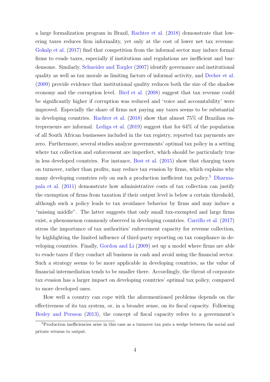a large formalization program in Brazil, [Rachter et al.](#page-33-2) [\(2018\)](#page-33-2) demonstrate that lowering taxes reduces firm informality, yet only at the cost of lower net tax revenue. [Gokalp et al.](#page-32-0) [\(2017\)](#page-32-0) find that competition from the informal sector may induce formal firms to evade taxes, especially if institutions and regulations are inefficient and burdensome. Similarly, [Schneider and Torgler](#page-33-3) [\(2007\)](#page-33-3) identify governance and institutional quality as well as tax morale as limiting factors of informal activity, and [Dreher et al.](#page-32-1) [\(2009\)](#page-32-1) provide evidence that institutional quality reduces both the size of the shadow economy and the corruption level. [Bird et al.](#page-31-1) [\(2008\)](#page-31-1) suggest that tax revenue could be significantly higher if corruption was reduced and 'voice and accountability' were improved. Especially the share of firms not paying any taxes seems to be substantial in developing countries. [Rachter et al.](#page-33-2) [\(2018\)](#page-33-2) show that almost 75% of Brazilian entrepreneurs are informal. [Lediga et al.](#page-33-4) [\(2019\)](#page-33-4) suggest that for 64% of the population of all South African businesses included in the tax registry, reported tax payments are zero. Furthermore, several studies analyze governments' optimal tax policy in a setting where tax collection and enforcement are imperfect, which should be particularly true in less developed countries. For instance, [Best et al.](#page-31-2) [\(2015\)](#page-31-2) show that charging taxes on turnover, rather than profits, may reduce tax evasion by firms, which explains why many developing countries rely on such a production inefficient tax policy.[5](#page-5-0) [Dharma](#page-31-3)[pala et al.](#page-31-3) [\(2011\)](#page-31-3) demonstrate how administrative costs of tax collection can justify the exemption of firms from taxation if their output level is below a certain threshold, although such a policy leads to tax avoidance behavior by firms and may induce a "missing middle". The latter suggests that only small tax-exempted and large firms exist, a phenomenon commonly observed in developing countries. [Carrillo et al.](#page-31-4) [\(2017\)](#page-31-4) stress the importance of tax authorities' enforcement capacity for revenue collection, by highlighting the limited influence of third-party reporting on tax compliance in developing countries. Finally, [Gordon and Li](#page-32-2) [\(2009\)](#page-32-2) set up a model where firms are able to evade taxes if they conduct all business in cash and avoid using the financial sector. Such a strategy seems to be more applicable in developing countries, as the value of financial intermediation tends to be smaller there. Accordingly, the threat of corporate tax evasion has a larger impact on developing countries' optimal tax policy, compared to more developed ones.

How well a country can cope with the aforementioned problems depends on the effectiveness of its tax system, or, in a broader sense, on its fiscal capacity. Following [Besley and Persson](#page-30-5) [\(2013\)](#page-30-5), the concept of fiscal capacity refers to a government's

<span id="page-5-0"></span><sup>&</sup>lt;sup>5</sup>Production inefficiencies arise in this case as a turnover tax puts a wedge between the social and private returns to output.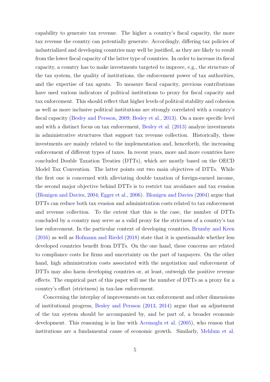capability to generate tax revenue. The higher a country's fiscal capacity, the more tax revenue the country can potentially generate. Accordingly, differing tax policies of industrialized and developing countries may well be justified, as they are likely to result from the lower fiscal capacity of the latter type of countries. In order to increase its fiscal capacity, a country has to make investments targeted to improve, e.g., the structure of the tax system, the quality of institutions, the enforcement power of tax authorities, and the expertise of tax agents. To measure fiscal capacity, previous contributions have used various indicators of political institutions to proxy for fiscal capacity and tax enforcement. This should reflect that higher levels of political stability and cohesion as well as more inclusive political institutions are strongly correlated with a country's fiscal capacity [\(Besley and Persson,](#page-30-6) [2009;](#page-30-6) [Besley et al.,](#page-30-7) [2013\)](#page-30-7). On a more specific level and with a distinct focus on tax enforcement, [Besley et al.](#page-30-7) [\(2013\)](#page-30-7) analyze investments in administrative structures that support tax revenue collection. Historically, these investments are mainly related to the implementation and, henceforth, the increasing enforcement of different types of taxes. In recent years, more and more countries have concluded Double Taxation Treaties (DTTs), which are mostly based on the OECD Model Tax Convention. The latter points out two main objectives of DTTs. While the first one is concerned with alleviating double taxation of foreign-earned income, the second major objective behind DTTs is to restrict tax avoidance and tax evasion [\(Blonigen and Davies,](#page-31-5) [2004;](#page-31-5) [Egger et al.,](#page-32-3) [2006\)](#page-32-3). [Blonigen and Davies](#page-31-5) [\(2004\)](#page-31-5) argue that DTTs can reduce both tax evasion and administration costs related to tax enforcement and revenue collection. To the extent that this is the case, the number of DTTs concluded by a country may serve as a valid proxy for the strictness of a country's tax law enforcement. In the particular context of developing countries, [Brumby and Keen](#page-31-6) [\(2016\)](#page-31-6) as well as [Hofmann and Riedel](#page-32-4) [\(2018\)](#page-32-4) state that it is questionable whether less developed countries benefit from DTTs. On the one hand, these concerns are related to compliance costs for firms and uncertainty on the part of taxpayers. On the other hand, high administration costs associated with the negotiation and enforcement of DTTs may also harm developing countries or, at least, outweigh the positive revenue effects. The empirical part of this paper will use the number of DTTs as a proxy for a country's effort (strictness) in tax-law enforcement.

Concerning the interplay of improvements on tax enforcement and other dimensions of institutional progress, [Besley and Persson](#page-30-5) [\(2013,](#page-30-5) [2014\)](#page-30-4) argue that an adjustment of the tax system should be accompanied by, and be part of, a broader economic development. This reasoning is in line with [Acemoglu et al.](#page-30-8) [\(2005\)](#page-30-8), who reason that institutions are a fundamental cause of economic growth. Similarly, [Mehlum et al.](#page-33-5)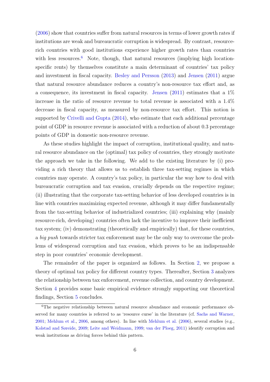[\(2006\)](#page-33-5) show that countries suffer from natural resources in terms of lower growth rates if institutions are weak and bureaucratic corruption is widespread. By contrast, resourcerich countries with good institutions experience higher growth rates than countries with less resources.<sup>[6](#page-7-0)</sup> Note, though, that natural resources (implying high locationspecific rents) by themselves constitute a main determinant of countries' tax policy and investment in fiscal capacity. [Besley and Persson](#page-30-5) [\(2013\)](#page-30-5) and [Jensen](#page-32-5) [\(2011\)](#page-32-5) argue that natural resource abundance reduces a country's non-resource tax effort and, as a consequence, its investment in fiscal capacity. [Jensen](#page-32-5)  $(2011)$  estimates that a  $1\%$ increase in the ratio of resource revenue to total revenue is associated with a 1.4% decrease in fiscal capacity, as measured by non-resource tax effort. This notion is supported by [Crivelli and Gupta](#page-31-7) [\(2014\)](#page-31-7), who estimate that each additional percentage point of GDP in resource revenue is associated with a reduction of about 0.3 percentage points of GDP in domestic non-resource revenue.

As these studies highlight the impact of corruption, institutional quality, and natural resource abundance on the (optimal) tax policy of countries, they strongly motivate the approach we take in the following. We add to the existing literature by (i) providing a rich theory that allows us to establish three tax-setting regimes in which countries may operate. A country's tax policy, in particular the way how to deal with bureaucratic corruption and tax evasion, crucially depends on the respective regime; (ii) illustrating that the corporate tax-setting behavior of less developed countries is in line with countries maximizing expected revenue, although it may differ fundamentally from the tax-setting behavior of industrialized countries; (iii) explaining why (mainly resource-rich, developing) countries often lack the incentive to improve their inefficient tax system; (iv) demonstrating (theoretically and empirically) that, for these countries, a big push towards stricter tax enforcement may be the only way to overcome the problems of widespread corruption and tax evasion, which proves to be an indispensable step in poor countries' economic development.

The remainder of the paper is organized as follows. In Section [2,](#page-8-0) we propose a theory of optimal tax policy for different country types. Thereafter, Section [3](#page-17-0) analyzes the relationship between tax enforcement, revenue collection, and country development. Section [4](#page-20-0) provides some basic empirical evidence strongly supporting our theoretical findings, Section [5](#page-28-0) concludes.

<span id="page-7-0"></span><sup>6</sup>The negative relationship between natural resource abundance and economic performance observed for many countries is referred to as 'resource curse' in the literature (cf. [Sachs and Warner,](#page-33-6) [2001;](#page-33-6) [Mehlum et al.,](#page-33-5) [2006,](#page-33-5) among others). In line with [Mehlum et al.](#page-33-5) [\(2006\)](#page-33-5), several studies (e.g., [Kolstad and Søreide,](#page-33-7) [2009;](#page-33-7) [Leite and Weidmann,](#page-33-8) [1999;](#page-33-8) [van der Ploeg,](#page-34-2) [2011\)](#page-34-2) identify corruption and weak institutions as driving forces behind this pattern.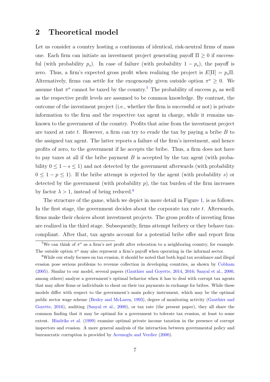### <span id="page-8-0"></span>2 Theoretical model

Let us consider a country hosting a continuum of identical, risk-neutral firms of mass one. Each firm can initiate an investment project generating payoff  $\Pi \geq 0$  if successful (with probability  $p_s$ ). In case of failure (with probability  $1 - p_s$ ), the payoff is zero. Thus, a firm's expected gross profit when realizing the project is  $E[\Pi] = p_s \Pi$ . Alternatively, firms can settle for the exogenously given outside option  $\pi^o \geq 0$ . We assume that  $\pi^o$  cannot be taxed by the country.<sup>[7](#page-8-1)</sup> The probability of success  $p_s$  as well as the respective profit levels are assumed to be common knowledge. By contrast, the outcome of the investment project (i.e., whether the firm is successful or not) is private information to the firm and the respective tax agent in charge, while it remains unknown to the government of the country. Profits that arise from the investment project are taxed at rate t. However, a firm can try to evade the tax by paying a bribe  $B$  to the assigned tax agent. The latter reports a failure of the firm's investment, and hence profits of zero, to the government if he accepts the bribe. Thus, a firm does not have to pay taxes at all if the bribe payment  $B$  is accepted by the tax agent (with probability  $0 \leq 1 - s \leq 1$ ) and not detected by the government afterwards (with probability  $0 \leq 1 - p \leq 1$ ). If the bribe attempt is rejected by the agent (with probability s) or detected by the government (with probability  $p$ ), the tax burden of the firm increases by factor  $\lambda > 1$ , instead of being reduced.<sup>[8](#page-8-2)</sup>

The structure of the game, which we depict in more detail in Figure [1,](#page-9-0) is as follows. In the first stage, the government decides about the corporate tax rate  $t$ . Afterwards, firms make their choices about investment projects. The gross profits of investing firms are realized in the third stage. Subsequently, firms attempt bribery or they behave taxcompliant. After that, tax agents account for a potential bribe offer and report firm

<span id="page-8-1"></span><sup>&</sup>lt;sup>7</sup>We can think of  $\pi^o$  as a firm's net profit after relocation to a neighboring country, for example. The outside option  $\pi^o$  may also represent a firm's payoff when operating in the informal sector.

<span id="page-8-2"></span><sup>&</sup>lt;sup>8</sup>While our study focuses on tax evasion, it should be noted that both legal tax avoidance and illegal evasion pose serious problems to revenue collection in developing countries, as shown by [Cobham](#page-31-8) [\(2005\)](#page-31-8). Similar to our model, several papers [\(Gauthier and Goyette,](#page-32-6) [2014,](#page-32-6) [2016;](#page-32-7) [Sanyal et al.,](#page-33-9) [2000,](#page-33-9) among others) analyze a government's optimal behavior when it has to deal with corrupt tax agents that may allow firms or individuals to cheat on their tax payments in exchange for bribes. While these models differ with respect to the government's main policy instrument, which may be the optimal public sector wage scheme [\(Besley and McLaren,](#page-30-3) [1993\)](#page-30-3), degree of monitoring activity [\(Gauthier and](#page-32-7) [Goyette,](#page-32-7) [2016\)](#page-32-7), auditing [\(Sanyal et al.,](#page-33-9) [2000\)](#page-33-9), or tax rate (the present paper), they all share the common finding that it may be optimal for a government to tolerate tax evasion, at least to some extent. [Hindriks et al.](#page-32-8) [\(1999\)](#page-32-8) examine optimal private income taxation in the presence of corrupt inspectors and evasion. A more general analysis of the interaction between governmental policy and bureaucratic corruption is provided by [Acemoglu and Verdier](#page-30-9) [\(2000\)](#page-30-9).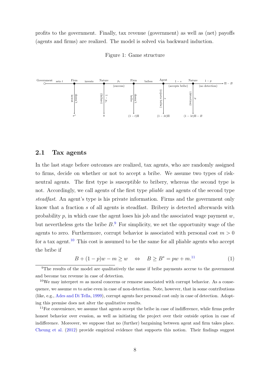<span id="page-9-0"></span>profits to the government. Finally, tax revenue (government) as well as (net) payoffs (agents and firms) are realized. The model is solved via backward induction.

Figure 1: Game structure



#### 2.1 Tax agents

In the last stage before outcomes are realized, tax agents, who are randomly assigned to firms, decide on whether or not to accept a bribe. We assume two types of riskneutral agents. The first type is susceptible to bribery, whereas the second type is not. Accordingly, we call agents of the first type *pliable* and agents of the second type steadfast. An agent's type is his private information. Firms and the government only know that a fraction s of all agents is steadfast. Bribery is detected afterwards with probability  $p$ , in which case the agent loses his job and the associated wage payment  $w$ , but nevertheless gets the bribe  $B$ <sup>[9](#page-9-1)</sup>. For simplicity, we set the opportunity wage of the agents to zero. Furthermore, corrupt behavior is associated with personal cost  $m > 0$ for a tax agent.<sup>[10](#page-9-2)</sup> This cost is assumed to be the same for all pliable agents who accept the bribe if

<span id="page-9-4"></span>
$$
B + (1 - p)w - m \ge w \quad \Leftrightarrow \quad B \ge B^* = pw + m^{11} \tag{1}
$$

<span id="page-9-1"></span><sup>&</sup>lt;sup>9</sup>The results of the model are qualitatively the same if bribe payments accrue to the government and become tax revenue in case of detection.

<span id="page-9-2"></span> $10$ We may interpret m as moral concerns or remorse associated with corrupt behavior. As a consequence, we assume  $m$  to arise even in case of non-detection. Note, however, that in some contributions (like, e.g., [Ades and Di Tella,](#page-30-10) [1999\)](#page-30-10), corrupt agents face personal cost only in case of detection. Adopting this premise does not alter the qualitative results.

<span id="page-9-3"></span><sup>&</sup>lt;sup>11</sup>For convenience, we assume that agents accept the bribe in case of indifference, while firms prefer honest behavior over evasion, as well as initiating the project over their outside option in case of indifference. Moreover, we suppose that no (further) bargaining between agent and firm takes place. [Cheung et al.](#page-31-0) [\(2012\)](#page-31-0) provide empirical evidence that supports this notion. Their findings suggest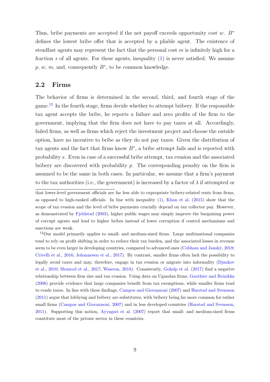Thus, bribe payments are accepted if the net payoff exceeds opportunity cost w.  $B^*$ defines the lowest bribe offer that is accepted by a pliable agent. The existence of steadfast agents may represent the fact that the personal cost  $m$  is infinitely high for a fraction s of all agents. For these agents, inequality  $(1)$  is never satisfied. We assume  $p, w, m$ , and, consequently  $B^*$ , to be common knowledge.

#### 2.2 Firms

The behavior of firms is determined in the second, third, and fourth stage of the game.[12](#page-10-0) In the fourth stage, firms decide whether to attempt bribery. If the responsible tax agent accepts the bribe, he reports a failure and zero profits of the firm to the government, implying that the firm does not have to pay taxes at all. Accordingly, failed firms, as well as firms which reject the investment project and choose the outside option, have no incentive to bribe as they do not pay taxes. Given the distribution of tax agents and the fact that firms know  $B^*$ , a bribe attempt fails and is reported with probability s. Even in case of a successful bribe attempt, tax evasion and the associated bribery are discovered with probability  $p$ . The corresponding penalty on the firm is assumed to be the same in both cases. In particular, we assume that a firm's payment to the tax authorities (i.e., the government) is increased by a factor of  $\lambda$  if attempted or

that lower-level government officials are far less able to expropriate bribery-related rents from firms, as opposed to high-ranked officials. In line with inequality [\(1\)](#page-9-4), [Khan et al.](#page-33-0) [\(2015\)](#page-33-0) show that the scope of tax evasion and the level of bribe payments crucially depend on tax collector pay. However, as demonstrated by [Fjeldstad](#page-32-9) [\(2003\)](#page-32-9), higher public wages may simply improve the bargaining power of corrupt agents and lead to higher bribes instead of lower corruption if control mechanisms and sanctions are weak.

<span id="page-10-0"></span><sup>12</sup>Our model primarily applies to small- and medium-sized firms. Large multinational companies tend to rely on profit shifting in order to reduce their tax burden, and the associated losses in revenue seem to be even larger in developing countries, compared to advanced ones (Cobham and Janskỳ, [2018;](#page-31-9) [Crivelli et al.,](#page-31-10) [2016;](#page-31-10) [Johannesen et al.,](#page-33-10) [2017\)](#page-33-10). By contrast, smaller firms often lack the possibility to legally avoid taxes and may, therefore, engage in tax evasion or migrate into informality [\(Djankov](#page-32-10) [et al.,](#page-32-10) [2010;](#page-32-10) [Slemrod et al.,](#page-34-3) [2017;](#page-34-3) [Waseem,](#page-34-4) [2018\)](#page-34-4). Consistently, [Gokalp et al.](#page-32-0) [\(2017\)](#page-32-0) find a negative relationship between firm size and tax evasion. Using data on Ugandan firms, [Gauthier and Reinikka](#page-32-11) [\(2006\)](#page-32-11) provide evidence that large companies benefit from tax exemptions, while smaller firms tend to evade taxes. In line with these findings, [Campos and Giovannoni](#page-31-11) [\(2007\)](#page-31-11) and [Harstad and Svensson](#page-32-12) [\(2011\)](#page-32-12) argue that lobbying and bribery are substitutes, with bribery being far more common for rather small firms [\(Campos and Giovannoni,](#page-31-11) [2007\)](#page-31-11) and in less developed countries [\(Harstad and Svensson,](#page-32-12) [2011\)](#page-32-12). Supporting this notion, [Ayyagari et al.](#page-30-11) [\(2007\)](#page-30-11) report that small- and medium-sized firms constitute most of the private sector in these countries.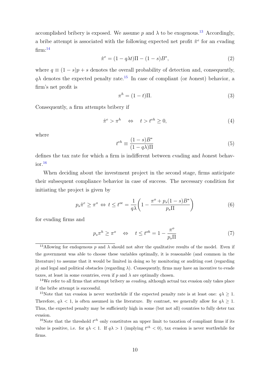accomplished bribery is exposed. We assume p and  $\lambda$  to be exogenous.<sup>[13](#page-11-0)</sup> Accordingly, a bribe attempt is associated with the following expected net profit  $\hat{\pi}^e$  for an evading  $firm:$ <sup>[14](#page-11-1)</sup>

<span id="page-11-8"></span>
$$
\hat{\pi}^e = (1 - q\lambda t)\Pi - (1 - s)B^*,
$$
\n(2)

where  $q \equiv (1 - s)p + s$  denotes the overall probability of detection and, consequently,  $q\lambda$  denotes the expected penalty rate.<sup>[15](#page-11-2)</sup> In case of compliant (or honest) behavior, a firm's net profit is

$$
\pi^h = (1 - t)\Pi.
$$
\n(3)

Consequently, a firm attempts bribery if

<span id="page-11-4"></span>
$$
\hat{\pi}^e > \pi^h \quad \Leftrightarrow \quad t > t^{eh} \ge 0,\tag{4}
$$

where

<span id="page-11-7"></span>
$$
t^{eh} \equiv \frac{(1-s)B^*}{(1-q\lambda)\Pi}
$$
\n(5)

defines the tax rate for which a firm is indifferent between evading and honest behav- $\rm{ior.}^{16}$  $\rm{ior.}^{16}$  $\rm{ior.}^{16}$ 

When deciding about the investment project in the second stage, firms anticipate their subsequent compliance behavior in case of success. The necessary condition for initiating the project is given by

<span id="page-11-5"></span>
$$
p_s \hat{\pi}^e \ge \pi^o \iff t \le t^{oe} = \frac{1}{q\lambda} \left( 1 - \frac{\pi^o + p_s(1-s)B^*}{p_s \Pi} \right) \tag{6}
$$

for evading firms and

<span id="page-11-6"></span>
$$
p_s \pi^h \ge \pi^o \quad \Leftrightarrow \quad t \le t^{oh} = 1 - \frac{\pi^o}{p_s \Pi} \tag{7}
$$

<span id="page-11-0"></span><sup>&</sup>lt;sup>13</sup>Allowing for endogenous p and  $\lambda$  should not alter the qualitative results of the model. Even if the government was able to choose these variables optimally, it is reasonable (and common in the literature) to assume that it would be limited in doing so by monitoring or auditing cost (regarding p) and legal and political obstacles (regarding  $\lambda$ ). Consequently, firms may have an incentive to evade taxes, at least in some countries, even if  $p$  and  $\lambda$  are optimally chosen.

<span id="page-11-1"></span> $14$ We refer to all firms that attempt bribery as *evading*, although actual tax evasion only takes place if the bribe attempt is successful.

<span id="page-11-2"></span><sup>&</sup>lt;sup>15</sup>Note that tax evasion is never worthwhile if the expected penalty rate is at least one:  $q\lambda \geq 1$ . Therefore,  $q\lambda < 1$ , is often assumed in the literature. By contrast, we generally allow for  $q\lambda \geq 1$ . Thus, the expected penalty may be sufficiently high in some (but not all) countries to fully deter tax evasion.

<span id="page-11-3"></span><sup>&</sup>lt;sup>16</sup>Note that the threshold  $t^{eh}$  only constitutes an upper limit to taxation of compliant firms if its value is positive, i.e. for  $q\lambda < 1$ . If  $q\lambda > 1$  (implying  $t^{eh} < 0$ ), tax evasion is never worthwhile for firms.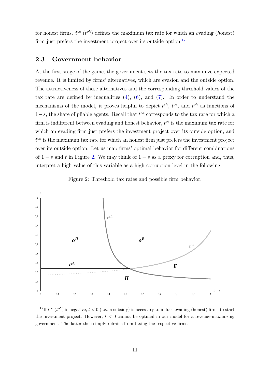for honest firms.  $t^{oe}$  ( $t^{oh}$ ) defines the maximum tax rate for which an evading (honest) firm just prefers the investment project over its outside option. $17$ 

#### 2.3 Government behavior

At the first stage of the game, the government sets the tax rate to maximize expected revenue. It is limited by firms' alternatives, which are evasion and the outside option. The attractiveness of these alternatives and the corresponding threshold values of the tax rate are defined by inequalities  $(4)$ ,  $(6)$ , and  $(7)$ . In order to understand the mechanisms of the model, it proves helpful to depict  $t^{eh}$ ,  $t^{oe}$ , and  $t^{oh}$  as functions of  $1-s$ , the share of pliable agents. Recall that  $t^{eh}$  corresponds to the tax rate for which a firm is indifferent between evading and honest behavior,  $t^{oe}$  is the maximum tax rate for which an evading firm just prefers the investment project over its outside option, and  $t^{oh}$  is the maximum tax rate for which an honest firm just prefers the investment project over its outside option. Let us map firms' optimal behavior for different combinations of  $1-s$  and t in Figure [2.](#page-12-1) We may think of  $1-s$  as a proxy for corruption and, thus, interpret a high value of this variable as a high corruption level in the following.

Figure 2: Threshold tax rates and possible firm behavior.

<span id="page-12-1"></span>

<span id="page-12-0"></span><sup>&</sup>lt;sup>17</sup>If  $t^{oe}$  ( $t^{oh}$ ) is negative,  $t < 0$  (i.e., a subsidy) is necessary to induce evading (honest) firms to start the investment project. However,  $t < 0$  cannot be optimal in our model for a revenue-maximizing government. The latter then simply refrains from taxing the respective firms.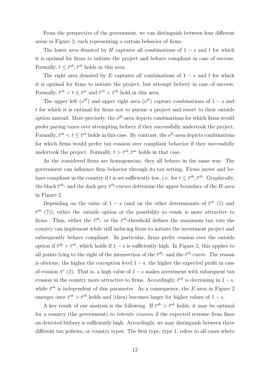From the perspective of the government, we can distinguish between four different areas in Figure [2,](#page-12-1) each representing a certain behavior of firms.

The lower area denoted by H captures all combinations of  $1 - s$  and t for which it is optimal for firms to initiate the project and behave compliant in case of success. Formally,  $t \leq t^{oh}, t^{eh}$  holds in this area.

The right area denoted by E captures all combinations of  $1 - s$  and t for which it is optimal for firms to initiate the project, but attempt bribery in case of success. Formally,  $t^{eh} < t \leq t^{oe}$  and  $t^{eh} < t^{oh}$  hold in this area.

The upper left  $(o^H)$  and upper right area  $(o^E)$  capture combinations of  $1-s$  and t for which it is optimal for firms not to pursue a project and resort to their outside option instead. More precisely, the  $o^H$ -area depicts combinations for which firms would prefer paying taxes over attempting bribery if they successfully undertook the project. Formally,  $t^{oh} < t \leq t^{eh}$  holds in this case. By contrast, the  $o^E$ -area depicts combinations for which firms would prefer tax evasion over compliant behavior if they successfully undertook the project. Formally,  $t > t^{eh}$ ,  $t^{oe}$  holds in that case.

As the considered firms are homogeneous, they all behave in the same way. The government can influence firm behavior through its tax setting. Firms invest and behave compliant in the country if t is set sufficiently low, i.e. for  $t \leq t^{oh}$ ,  $t^{eh}$ . Graphically, the black  $t^{oh}$ - and the dark grey  $t^{eh}$ -curves determine the upper boundary of the H-area in Figure [2.](#page-12-1)

Depending on the value of  $1 - s$  (and on the other determinants of  $t^{eh}$  [\(5\)](#page-11-7) and  $t^{oh}$  [\(7\)](#page-11-6)), either the outside option or the possibility to evade is more attractive to firms. Thus, either the  $t^{oh}$ - or the  $t^{eh}$ -threshold defines the maximum tax rate the country can implement while still inducing firms to initiate the investment project and subsequently behave compliant. In particular, firms prefer evasion over the outside option if  $t^{oh} > t^{eh}$ , which holds if  $1 - s$  is sufficiently high. In Figure [2,](#page-12-1) this applies to all points lying to the right of the intersection of the  $t^{oh}$ - and the  $t^{eh}$ -curve. The reason is obvious: the higher the corruption level  $1 - s$ , the higher the expected profit in case of evasion  $\hat{\pi}^e$  [\(2\)](#page-11-8). That is, a high value of  $1-s$  makes investment with subsequent tax evasion in the country more attractive to firms. Accordingly,  $t^{eh}$  is decreasing in  $1-s$ , while  $t^{oh}$  is independent of this parameter. As a consequence, the E-area in Figure [2](#page-12-1) emerges once  $t^{oh} > t^{eh}$  holds and (then) becomes larger for higher values of  $1 - s$ .

A key result of our analysis is the following. If  $t^{oh} > t^{eh}$  holds, it may be optimal for a country (the government) to *tolerate evasion* if the expected revenue from fines on detected bribery is sufficiently high. Accordingly, we may distinguish between three different tax policies, or country types. The first type, type 1, refers to all cases where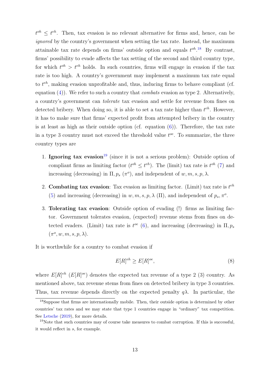$t^{oh} \leq t^{eh}$ . Then, tax evasion is no relevant alternative for firms and, hence, can be ignored by the country's government when setting the tax rate. Instead, the maximum attainable tax rate depends on firms' outside option and equals  $t^{oh}$ .<sup>[18](#page-14-0)</sup> By contrast, firms' possibility to evade affects the tax setting of the second and third country type, for which  $t^{oh} > t^{eh}$  holds. In such countries, firms will engage in evasion if the tax rate is too high. A country's government may implement a maximum tax rate equal to  $t^{eh}$ , making evasion unprofitable and, thus, inducing firms to behave compliant (cf. equation  $(4)$ ). We refer to such a country that *combats* evasion as type 2. Alternatively, a country's government can tolerate tax evasion and settle for revenue from fines on detected bribery. When doing so, it is able to set a tax rate higher than  $t^{eh}$ . However, it has to make sure that firms' expected profit from attempted bribery in the country is at least as high as their outside option (cf. equation [\(6\)](#page-11-5)). Therefore, the tax rate in a type 3 country must not exceed the threshold value  $t^{oe}$ . To summarize, the three country types are

- 1. **Ignoring tax evasion**<sup>[19](#page-14-1)</sup> (since it is not a serious problem): Outside option of compliant firms as limiting factor  $(t^{oh} \n\leq t^{eh})$ . The (limit) tax rate is  $t^{oh}$  [\(7\)](#page-11-6) and increasing (decreasing) in  $\Pi$ ,  $p_s$  ( $\pi$ <sup>o</sup>), and independent of w, m, s, p,  $\lambda$ .
- 2. Combating tax evasion: Tax evasion as limiting factor. (Limit) tax rate is  $t^{eh}$ [\(5\)](#page-11-7) and increasing (decreasing) in  $w, m, s, p, \lambda$  (II), and independent of  $p_s, \pi^o$ .
- 3. Tolerating tax evasion: Outside option of evading (!) firms as limiting factor. Government tolerates evasion, (expected) revenue stems from fines on detected evaders. (Limit) tax rate is  $t^{oe}$  [\(6\)](#page-11-5), and increasing (decreasing) in  $\Pi$ ,  $p_s$  $(\pi^o, w, m, s, p, \lambda).$

It is worthwhile for a country to combat evasion if

<span id="page-14-2"></span>
$$
E[R]^{eh} \ge E[R]^{oe},\tag{8}
$$

where  $E[R]^{eh}$  ( $E[R]^{oe}$ ) denotes the expected tax revenue of a type 2 (3) country. As mentioned above, tax revenue stems from fines on detected bribery in type 3 countries. Thus, tax revenue depends directly on the expected penalty  $q\lambda$ . In particular, the

<span id="page-14-0"></span><sup>18</sup>Suppose that firms are internationally mobile. Then, their outside option is determined by other countries' tax rates and we may state that type 1 countries engage in "ordinary" tax competition. See [Letsche](#page-33-11) [\(2019\)](#page-33-11), for more details.

<span id="page-14-1"></span> $19$ Note that such countries may of course take measures to combat corruption. If this is successful, it would reflect in s, for example.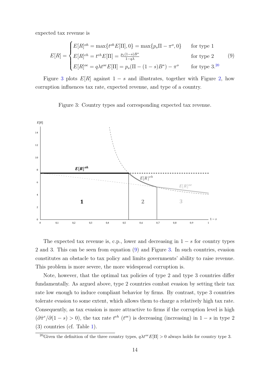expected tax revenue is

<span id="page-15-2"></span>
$$
E[R] = \begin{cases} E[R]^{oh} = \max\{t^{oh}E[\Pi], 0\} = \max\{p_s \Pi - \pi^o, 0\} & \text{for type 1} \\ E[R]^{eh} = t^{eh} E[\Pi] = \frac{p_s(1-s)B^*}{1-q\lambda} & \text{for type 2} \\ E[R]^{oe} = q\lambda t^{oe} E[\Pi] = p_s(\Pi - (1-s)B^*) - \pi^o & \text{for type 3.20} \end{cases}
$$
(9)

Figure [3](#page-15-1) plots  $E[R]$  against  $1-s$  and illustrates, together with Figure [2,](#page-12-1) how corruption influences tax rate, expected revenue, and type of a country.

<span id="page-15-1"></span>

Figure 3: Country types and corresponding expected tax revenue.

The expected tax revenue is, c.p., lower and decreasing in  $1 - s$  for country types 2 and 3. This can be seen from equation [\(9\)](#page-15-2) and Figure [3.](#page-15-1) In such countries, evasion constitutes an obstacle to tax policy and limits governments' ability to raise revenue. This problem is more severe, the more widespread corruption is.

Note, however, that the optimal tax policies of type 2 and type 3 countries differ fundamentally. As argued above, type 2 countries combat evasion by setting their tax rate low enough to induce compliant behavior by firms. By contrast, type 3 countries tolerate evasion to some extent, which allows them to charge a relatively high tax rate. Consequently, as tax evasion is more attractive to firms if the corruption level is high  $(\partial \hat{\pi}^e/\partial(1-s) > 0)$ , the tax rate  $t^{eh}$  ( $t^{oe}$ ) is decreasing (increasing) in  $1-s$  in type 2 (3) countries (cf. Table [1\)](#page-16-0).

<span id="page-15-0"></span><sup>&</sup>lt;sup>20</sup>Given the definition of the three country types,  $q\lambda t^{oe}E[\Pi] > 0$  always holds for country type 3.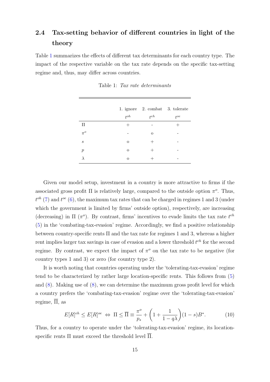### 2.4 Tax-setting behavior of different countries in light of the theory

<span id="page-16-0"></span>Table [1](#page-16-0) summarizes the effects of different tax determinants for each country type. The impact of the respective variable on the tax rate depends on the specific tax-setting regime and, thus, may differ across countries.

|                  | $t^{oh}$ | 1. ignore 2. combat 3. tolerate<br>$t^{eh}$ | $t^{oe}$ |
|------------------|----------|---------------------------------------------|----------|
| $\Pi$            | $^+$     |                                             |          |
| $\pi^o$          |          | $\circ$                                     |          |
| $\boldsymbol{s}$ | $\circ$  | $^+$                                        |          |
| $\boldsymbol{p}$ | $\circ$  | $^+$                                        |          |
|                  | $\circ$  |                                             |          |

Table 1: Tax rate determinants

Given our model setup, investment in a country is more attractive to firms if the associated gross profit  $\Pi$  is relatively large, compared to the outside option  $\pi^o$ . Thus,  $t^{oh}$  [\(7\)](#page-11-6) and  $t^{oe}$  [\(6\)](#page-11-5), the maximum tax rates that can be charged in regimes 1 and 3 (under which the government is limited by firms' outside option), respectively, are increasing (decreasing) in  $\Pi$  ( $\pi$ <sup>o</sup>). By contrast, firms' incentives to evade limits the tax rate  $t^{eh}$ [\(5\)](#page-11-7) in the 'combating-tax-evasion' regime. Accordingly, we find a positive relationship between country-specific rents  $\Pi$  and the tax rate for regimes 1 and 3, whereas a higher rent implies larger tax savings in case of evasion and a lower threshold  $t^{eh}$  for the second regime. By contrast, we expect the impact of  $\pi^o$  on the tax rate to be negative (for country types 1 and 3) or zero (for country type 2).

It is worth noting that countries operating under the 'tolerating-tax-evasion' regime tend to be characterized by rather large location-specific rents. This follows from [\(5\)](#page-11-7) and [\(8\)](#page-14-2). Making use of [\(8\)](#page-14-2), we can determine the maximum gross profit level for which a country prefers the 'combating-tax-evasion' regime over the 'tolerating-tax-evasion' regime,  $\overline{\Pi}$ , as

<span id="page-16-1"></span>
$$
E[R]^{eh} \le E[R]^{oe} \iff \Pi \le \overline{\Pi} \equiv \frac{\pi^o}{p_s} + \left(1 + \frac{1}{1 - q\lambda}\right)(1 - s)B^*.
$$
 (10)

Thus, for a country to operate under the 'tolerating-tax-evasion' regime, its locationspecific rents  $\Pi$  must exceed the threshold level  $\overline{\Pi}$ .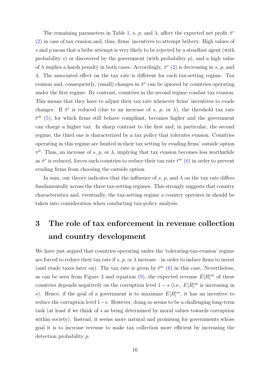The remaining parameters in Table [1,](#page-16-0) s, p, and  $\lambda$ , affect the expected net profit  $\hat{\pi}^{\epsilon}$ [\(2\)](#page-11-8) in case of tax evasion and, thus, firms' incentives to attempt bribery. High values of s and  $p$  mean that a bribe attempt is very likely to be rejected by a steadfast agent (with probability s) or discovered by the government (with probability  $p$ ), and a high value of  $\lambda$  implies a harsh penalty in both cases. Accordingly,  $\hat{\pi}^e$  [\(2\)](#page-11-8) is decreasing in s, p, and λ. The associated effect on the tax rate is different for each tax-setting regime. Tax evasion and, consequently, (small) changes in  $\hat{\pi}^e$  can be ignored by countries operating under the first regime. By contrast, countries in the second regime combat tax evasion. This means that they have to adjust their tax rate whenever firms' incentives to evade changes. If  $\hat{\pi}^e$  is reduced (due to an increase of s, p, or  $\lambda$ ), the threshold tax rate  $t^{eh}$  [\(5\)](#page-11-7), for which firms still behave compliant, becomes higher and the government can charge a higher tax. In sharp contrast to the first and, in particular, the second regime, the third one is characterized by a tax policy that tolerates evasion. Countries operating in this regime are limited in their tax setting by evading firms' outside option  $\pi^0$ . Thus, an increase of s, p, or  $\lambda$ , implying that tax evasion becomes less worthwhile as  $\hat{\pi}^e$  is reduced, forces such countries to reduce their tax rate  $t^{oe}$  [\(6\)](#page-11-5) in order to prevent evading firms from choosing the outside option.

In sum, our theory indicates that the influence of s, p, and  $\lambda$  on the tax rate differs fundamentally across the three tax-setting regimes. This strongly suggests that country characteristics and, eventually, the tax-setting regime a country operates in should be taken into consideration when conducting tax-policy analysis.

## <span id="page-17-0"></span>3 The role of tax enforcement in revenue collection and country development

We have just argued that countries operating under the 'tolerating-tax-evasion' regime are forced to reduce their tax rate if s, p, or  $\lambda$  increase – in order to induce firms to invest (and evade taxes later on). The tax rate is given by  $t^{oe}$  [\(6\)](#page-11-5) in this case. Nevertheless, as can be seen from Figure [3](#page-15-1) and equation [\(9\)](#page-15-2), the expected revenue  $E[R]^{oe}$  of these countries depends negatively on the corruption level  $1 - s$  (i.e.,  $E[R]^{oe}$  is increasing in s). Hence, if the goal of a government is to maximize  $E[R]^{oe}$ , it has an incentive to reduce the corruption level 1−s. However, doing so seems to be a challenging long-term task (at least if we think of s as being determined by moral values towards corruption within society). Instead, it seems more natural and promising for governments whose goal it is to increase revenue to make tax collection more efficient by increasing the detection probability p.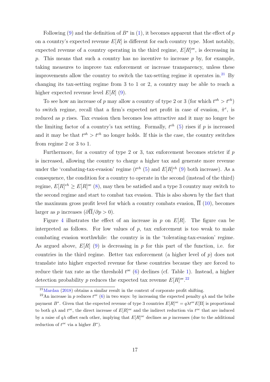Following [\(9\)](#page-15-2) and the definition of  $B^*$  in [\(1\)](#page-9-4), it becomes apparent that the effect of p on a country's expected revenue  $E[R]$  is different for each country type. Most notably, expected revenue of a country operating in the third regime,  $E[R]^{oe}$ , is decreasing in p. This means that such a country has no incentive to increase  $p$  by, for example, taking measures to improve tax enforcement or increase transparency, unless these improvements allow the country to switch the tax-setting regime it operates in.<sup>[21](#page-18-0)</sup> By changing its tax-setting regime from 3 to 1 or 2, a country may be able to reach a higher expected revenue level  $E[R]$  [\(9\)](#page-15-2).

To see how an increase of p may allow a country of type 2 or 3 (for which  $t^{oh} > t^{eh}$ ) to switch regime, recall that a firm's expected net profit in case of evasion,  $\hat{\pi}^e$ , is reduced as p rises. Tax evasion then becomes less attractive and it may no longer be the limiting factor of a country's tax setting. Formally,  $t^{eh}$  [\(5\)](#page-11-7) rises if p is increased and it may be that  $t^{oh} > t^{eh}$  no longer holds. If this is the case, the country switches from regime 2 or 3 to 1.

Furthermore, for a country of type 2 or 3, tax enforcement becomes stricter if  $p$ is increased, allowing the country to charge a higher tax and generate more revenue under the 'combating-tax-evasion' regime ( $t^{eh}$  [\(5\)](#page-11-7) and  $E[R]^{eh}$  [\(9\)](#page-15-2) both increase). As a consequence, the condition for a country to operate in the second (instead of the third) regime,  $E[R]^{eh} \ge E[R]^{oe}$  [\(8\)](#page-14-2), may then be satisfied and a type 3 country may switch to the second regime and start to combat tax evasion. This is also shown by the fact that the maximum gross profit level for which a country combats evasion,  $\Pi$  [\(10\)](#page-16-1), becomes larger as p increases  $(\partial \overline{\Pi}/\partial p > 0)$ .

Figure [4](#page-19-0) illustrates the effect of an increase in p on  $E[R]$ . The figure can be interpreted as follows. For low values of  $p$ , tax enforcement is too weak to make combating evasion worthwhile: the country is in the 'tolerating-tax-evasion' regime. As argued above,  $E[R]$  [\(9\)](#page-15-2) is decreasing in p for this part of the function, i.e. for countries in the third regime. Better tax enforcement (a higher level of  $p$ ) does not translate into higher expected revenue for these countries because they are forced to reduce their tax rate as the threshold  $t^{oe}$  [\(6\)](#page-11-5) declines (cf. Table [1\)](#page-16-0). Instead, a higher detection probability p reduces the expected tax revenue  $E[R]^{oe}$ .<sup>[22](#page-18-1)</sup>

<span id="page-18-1"></span><span id="page-18-0"></span> $21$ [Mardan](#page-33-12) [\(2018\)](#page-33-12) obtains a similar result in the context of corporate profit shifting.

<sup>&</sup>lt;sup>22</sup>An increase in p reduces  $t^{oe}$  [\(6\)](#page-11-5) in two ways: by increasing the expected penalty  $q\lambda$  and the bribe payment B<sup>∗</sup>. Given that the expected revenue of type 3 countries  $E[R]^{oe} = q\lambda t^{oe} E[\Pi]$  is proportional to both  $q\lambda$  and  $t^{oe}$ , the direct increase of  $E[R]^{oe}$  and the indirect reduction via  $t^{oe}$  that are induced by a raise of  $q\lambda$  offset each other, implying that  $E[R]^{oe}$  declines as p increases (due to the additional reduction of  $t^{oe}$  via a higher  $B^*$ ).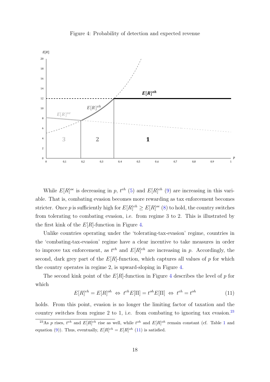<span id="page-19-0"></span>

Figure 4: Probability of detection and expected revenue

While  $E[R]^{oe}$  is decreasing in p,  $t^{eh}$  [\(5\)](#page-11-7) and  $E[R]^{eh}$  [\(9\)](#page-15-2) are increasing in this variable. That is, combating evasion becomes more rewarding as tax enforcement becomes stricter. Once p is sufficiently high for  $E[R]^{eh} \geq E[R]^{oe}$  [\(8\)](#page-14-2) to hold, the country switches from tolerating to combating evasion, i.e. from regime 3 to 2. This is illustrated by the first kink of the  $E[R]$ -function in Figure [4.](#page-19-0)

Unlike countries operating under the 'tolerating-tax-evasion' regime, countries in the 'combating-tax-evasion' regime have a clear incentive to take measures in order to improve tax enforcement, as  $t^{eh}$  and  $E[R]^{eh}$  are increasing in p. Accordingly, the second, dark grey part of the  $E[R]$ -function, which captures all values of p for which the country operates in regime 2, is upward-sloping in Figure [4.](#page-19-0)

The second kink point of the  $E[R]$ -function in Figure [4](#page-19-0) describes the level of p for which

<span id="page-19-2"></span>
$$
E[R]^{eh} = E[R]^{oh} \Leftrightarrow t^{eh}E[\Pi] = t^{oh}E[\Pi] \Leftrightarrow t^{eh} = t^{oh}
$$
\n(11)

holds. From this point, evasion is no longer the limiting factor of taxation and the country switches from regime 2 to 1, i.e. from combating to ignoring tax evasion.<sup>[23](#page-19-1)</sup>

<span id="page-19-1"></span><sup>&</sup>lt;sup>23</sup>As p rises,  $t^{eh}$  and  $E[R]^{eh}$  rise as well, while  $t^{oh}$  and  $E[R]^{oh}$  remain constant (cf. Table [1](#page-16-0) and equation [\(9\)](#page-15-2)). Thus, eventually,  $E[R]^{eh} = E[R]^{oh}$  [\(11\)](#page-19-2) is satisfied.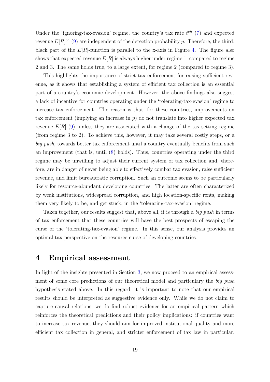Under the 'ignoring-tax-evasion' regime, the country's tax rate  $t^{oh}$  [\(7\)](#page-11-6) and expected revenue  $E[R]^{oh}$  [\(9\)](#page-15-2) are independent of the detection probability p. Therefore, the third, black part of the  $E[R]$ -function is parallel to the x-axis in Figure [4.](#page-19-0) The figure also shows that expected revenue  $E[R]$  is always higher under regime 1, compared to regime 2 and 3. The same holds true, to a large extent, for regime 2 (compared to regime 3).

This highlights the importance of strict tax enforcement for raising sufficient revenue, as it shows that establishing a system of efficient tax collection is an essential part of a country's economic development. However, the above findings also suggest a lack of incentive for countries operating under the 'tolerating-tax-evasion' regime to increase tax enforcement. The reason is that, for these countries, improvements on tax enforcement (implying an increase in  $p$ ) do not translate into higher expected tax revenue  $E[R]$  [\(9\)](#page-15-2), unless they are associated with a change of the tax-setting regime (from regime 3 to 2). To achieve this, however, it may take several costly steps, or a big push, towards better tax enforcement until a country eventually benefits from such an improvement (that is, until [\(8\)](#page-14-2) holds). Thus, countries operating under the third regime may be unwilling to adjust their current system of tax collection and, therefore, are in danger of never being able to effectively combat tax evasion, raise sufficient revenue, and limit bureaucratic corruption. Such an outcome seems to be particularly likely for resource-abundant developing countries. The latter are often characterized by weak institutions, widespread corruption, and high location-specific rents, making them very likely to be, and get stuck, in the 'tolerating-tax-evasion' regime.

Taken together, our results suggest that, above all, it is through a *big push* in terms of tax enforcement that these countries will have the best prospects of escaping the curse of the 'tolerating-tax-evasion' regime. In this sense, our analysis provides an optimal tax perspective on the resource curse of developing countries.

### <span id="page-20-0"></span>4 Empirical assessment

In light of the insights presented in Section [3,](#page-17-0) we now proceed to an empirical assessment of some core predictions of our theoretical model and particulary the big push hypothesis stated above. In this regard, it is important to note that our empirical results should be interpreted as suggestive evidence only. While we do not claim to capture causal relations, we do find robust evidence for an empirical pattern which reinforces the theoretical predictions and their policy implications: if countries want to increase tax revenue, they should aim for improved institutional quality and more efficient tax collection in general, and stricter enforcement of tax law in particular.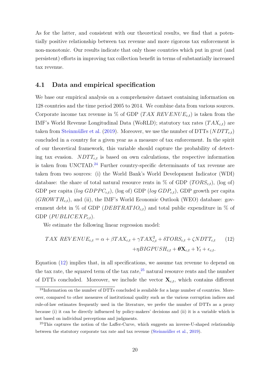As for the latter, and consistent with our theoretical results, we find that a potentially positive relationship between tax revenue and more rigorous tax enforcement is non-monotonic. Our results indicate that only those countries which put in great (and persistent) efforts in improving tax collection benefit in terms of substantially increased tax revenue.

#### 4.1 Data and empirical specification

We base our empirical analysis on a comprehensive dataset containing information on 128 countries and the time period 2005 to 2014. We combine data from various sources. Corporate income tax revenue in % of GDP (TAX REVENUE<sub>c,t</sub>) is taken from the IMF's World Revenue Longitudinal Data (WoRLD); statutory tax rates  $(TAX_{c,t})$  are taken from Steinmüller et al. [\(2019\)](#page-34-0). Moreover, we use the number of DTTs  $(NDTT_{c,t})$ concluded in a country for a given year as a measure of tax enforcement. In the spirit of our theoretical framework, this variable should capture the probability of detecting tax evasion.  $NDTT_{ct}$  is based on own calculations, the respective information is taken from UNCTAD.<sup>[24](#page-21-0)</sup> Further country-specific determinants of tax revenue are taken from two sources: (i) the World Bank's World Development Indicator (WDI) database: the share of total natural resource rents in  $\%$  of GDP ( $TORS_{c,t}$ ), (log of) GDP per capita (log  $GDPPC_{c,t}$ ), (log of) GDP (log  $GDP_{c,t}$ ), GDP growth per capita  $(GROW TH_{c,t})$ , and (ii), the IMF's World Economic Outlook (WEO) database: government debt in % of GDP ( $DEBTRATION_{c,t}$ ) and total public expenditure in % of GDP  $(PUBLICEXP_{c,t}).$ 

We estimate the following linear regression model:

<span id="page-21-1"></span>
$$
TAX REVIEW_{c,t} = \alpha + \beta TAX_{c,t} + \gamma TAX_{c,t}^2 + \delta TORS_{c,t} + \zeta NDTT_{c,t}
$$
 (12)  
+
$$
\eta BIGPUSH_{c,t} + \theta \mathbf{X}_{c,t} + Y_t + \epsilon_{c,t}.
$$

Equation [\(12\)](#page-21-1) implies that, in all specifications, we assume tax revenue to depend on the tax rate, the squared term of the tax rate, $2<sup>5</sup>$  natural resource rents and the number of DTTs concluded. Moreover, we include the vector  $\mathbf{X}_{c,t}$ , which contains different

<span id="page-21-0"></span><sup>&</sup>lt;sup>24</sup>Information on the number of DTTs concluded is available for a large number of countries. Moreover, compared to other measures of institutional quality such as the various corruption indices and rule-of-law estimates frequently used in the literature, we prefer the number of DTTs as a proxy because (i) it can be directly influenced by policy-makers' decisions and (ii) it is a variable which is not based on individual perceptions and judgments.

<span id="page-21-2"></span><sup>&</sup>lt;sup>25</sup>This captures the notion of the Laffer-Curve, which suggests an inverse-U-shaped relationship between the statutory corporate tax rate and tax revenue (Steinmüller et al., [2019\)](#page-34-0).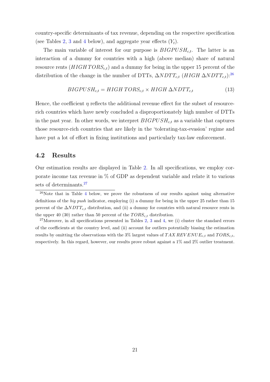country-specific determinants of tax revenue, depending on the respective specification (see Tables [2,](#page-23-0) [3](#page-25-0) and [4](#page-26-0) below), and aggregate year effects  $(Y_t)$ .

The main variable of interest for our purpose is  $BIGPUSH_{c,t}$ . The latter is an interaction of a dummy for countries with a high (above median) share of natural resource rents  $(HIGHTORS_{ct})$  and a dummy for being in the upper 15 percent of the distribution of the change in the number of DTTs,  $\Delta NDTT_{c,t}$  (HIGH  $\Delta NDTT_{c,t}$ ):<sup>[26](#page-22-0)</sup>

$$
BIGPUSH_{c,t} = HIGH \, TORS_{c,t} \times HIGH \, \Delta NDTT_{c,t} \tag{13}
$$

Hence, the coefficient  $\eta$  reflects the additional revenue effect for the subset of resourcerich countries which have newly concluded a disproportionately high number of DTTs in the past year. In other words, we interpret  $BIGPUSH_{c,t}$  as a variable that captures those resource-rich countries that are likely in the 'tolerating-tax-evasion' regime and have put a lot of effort in fixing institutions and particularly tax-law enforcement.

#### 4.2 Results

Our estimation results are displayed in Table [2.](#page-23-0) In all specifications, we employ corporate income tax revenue in % of GDP as dependent variable and relate it to various sets of determinants.<sup>[27](#page-22-1)</sup>

<span id="page-22-1"></span> $27$ Moreover, in all specifications presented in Tables [2,](#page-23-0) [3](#page-25-0) and [4,](#page-26-0) we (i) cluster the standard errors of the coefficients at the country level, and (ii) account for outliers potentially biasing the estimation results by omitting the observations with the 3% largest values of TAX REV ENUE<sub>c,t</sub> and TORS<sub>c,t</sub>, respectively. In this regard, however, our results prove robust against a 1% and 2% outlier treatment.

<span id="page-22-0"></span> $26$ Note that in Table [4](#page-26-0) below, we prove the robustness of our results against using alternative definitions of the big push indicator, employing (i) a dummy for being in the upper 25 rather than 15 percent of the  $\Delta NDTT_{c,t}$  distribution, and (ii) a dummy for countries with natural resource rents in the upper 40 (30) rather than 50 percent of the  $TORS_{c,t}$  distribution.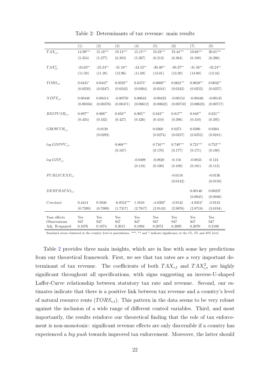<span id="page-23-0"></span>

|                   | (1)        | (2)        | (3)          | (4)        | (5)                    | (6)        | (7)        | (8)        |
|-------------------|------------|------------|--------------|------------|------------------------|------------|------------|------------|
| $TAX_{c,t}$       | $14.99***$ | $15.18***$ | $19.12***$   | $15.15***$ | $19.33^{\ast\ast\ast}$ | $19.44***$ | 19.68***   | $20.01***$ |
|                   | (5.354)    | (5.277)    | (6.283)      | (5.267)    | (6.213)                | (6.364)    | (6.180)    | (6.386)    |
|                   |            |            |              |            |                        |            |            |            |
| $TAX_{c,t}^2$     | $-24.63**$ | $-25.24**$ | $-31.18**$   | $-24.52**$ | $-30.40**$             | $-30.37**$ | $-31.56**$ | $-32.24**$ |
|                   | (11.50)    | (11.28)    | (12.96)      | (11.69)    | (13.01)                | (13.20)    | (13.00)    | (13.34)    |
| $TORS_{c,t}$      | $0.0431*$  | $0.0447*$  | $0.0592**$   | $0.0475*$  | $0.0608**$             | $0.0621**$ | $0.0628**$ | $0.0656**$ |
|                   | (0.0250)   | (0.0247)   | (0.0242)     | (0.0264)   | (0.0241)               | (0.0242)   | (0.0253)   |            |
|                   |            |            |              |            |                        |            |            | (0.0257)   |
| $NDTT_{c,t}$      | 0.00448    | 0.00414    | $-0.00750$   | 0.00643    | $-0.00423$             | $-0.00154$ | $-0.00446$ | $-0.00145$ |
|                   | (0.00356)  | (0.00376)  | (0.00471)    | (0.00612)  | (0.00622)              | (0.00710)  | (0.00623)  | (0.00717)  |
|                   |            |            |              |            |                        |            |            |            |
| $BIGPUSH_{c,t}$   | $0.897**$  | $0.908**$  | $0.850**$    | $0.905**$  | $0.843**$              | $0.817**$  | $0.848**$  | $0.821**$  |
|                   | (0.434)    | (0.432)    | (0.427)      | (0.426)    | (0.410)                | (0.396)    | (0.410)    | (0.395)    |
|                   |            | $-0.0120$  |              |            | 0.0360                 | 0.0271     | 0.0390     | 0.0304     |
| $GROWTH_{c,t}$    |            |            |              |            |                        |            |            |            |
|                   |            | (0.0293)   |              |            | (0.0274)               | (0.0257)   | (0.0252)   | (0.0241)   |
| $log GDPPC_{c,t}$ |            |            | $0.668***$   |            | $0.716***$             | $0.740***$ | $0.721***$ | $0.752***$ |
|                   |            |            | (0.167)      |            | (0.170)                | (0.177)    | (0.171)    | (0.180)    |
|                   |            |            |              |            |                        |            |            |            |
| $log GDP_{c,t}$   |            |            |              | $-0.0498$  | $-0.0820$              | $-0.116$   | $-0.0833$  | $-0.124$   |
|                   |            |            |              | (0.118)    | (0.100)                | (0.109)    | (0.101)    | (0.113)    |
|                   |            |            |              |            |                        |            |            |            |
| $PUBLICEXP_{c.t}$ |            |            |              |            |                        | $-0.0116$  |            | $-0.0136$  |
|                   |            |            |              |            |                        | (0.0142)   |            | (0.0150)   |
| $DEBTRATIO_{ct}$  |            |            |              |            |                        |            | 0.00146    | 0.00237    |
|                   |            |            |              |            |                        |            | (0.0045)   | (0.0046)   |
| Constant          | 0.4414     | 0.5046     | $-6.0552***$ | 1.5816     | $-4.8392*$             | $-3.9142$  | $-4.9354*$ | $-3.9134$  |
|                   | (0.7399)   | (0.7999)   | (1.7317)     | (2.7917)   | (2.9143)               | (2.9976)   | (2.8718)   | (3.0194)   |
|                   |            |            |              |            |                        |            |            |            |
| Year effects      | Yes        | Yes        | Yes          | Yes        | Yes                    | Yes        | Yes        | Yes        |
| Observations      | 947        | 947        | 947          | 947        | 947                    | 947        | 947        | 947        |
| Adj. R-squared    | 0.1076     | 0.1074     | 0.2015       | 0.1094     | 0.2073                 | 0.2095     | 0.2070     | 0.2100     |

Table 2: Determinants of tax revenue: main results

Standard errors clustered at the country level in parentheses. \*\*\*, \*\* and \* indicate significance at the 1%, 5% and 10% level.

Table [2](#page-23-0) provides three main insights, which are in line with some key predictions from our theoretical framework. First, we see that tax rates are a very important determinant of tax revenue. The coefficients of both  $TAX_{c,t}$  and  $TAX_{c,t}^2$  are highly significant throughout all specifications, with signs suggesting an inverse-U-shaped Laffer-Curve relationship between statutory tax rate and revenue. Second, our estimates indicate that there is a positive link between tax revenue and a country's level of natural resource rents  $(TORS_{c,t})$ . This pattern in the data seems to be very robust against the inclusion of a wide range of different control variables. Third, and most importantly, the results reinforce our theoretical finding that the role of tax enforcement is non-monotonic: significant revenue effects are only discernible if a country has experienced a big push towards improved tax enforcement. Moreover, the latter should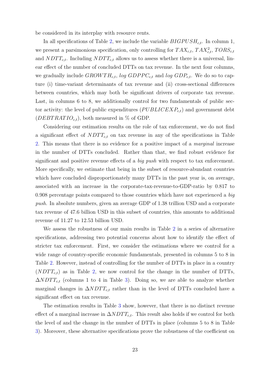be considered in its interplay with resource rents.

In all specifications of Table [2,](#page-23-0) we include the variable  $BIGPUSH_{c,t}$ . In column 1, we present a parsimonious specification, only controlling for  $TAX_{c,t}$ ,  $TAX_{c,t}^2$ ,  $TORS_{c,t}$ and  $NDTT_{c,t}$ . Including  $NDTT_{c,t}$  allows us to assess whether there is a universal, linear effect of the number of concluded DTTs on tax revenue. In the next four columns, we gradually include  $GROWTH_{c,t}$ , log  $GDPPC_{c,t}$  and log  $GDP_{c,t}$ . We do so to capture (i) time-variant determinants of tax revenue and (ii) cross-sectional differences between countries, which may both be significant drivers of corporate tax revenue. Last, in columns 6 to 8, we additionally control for two fundamentals of public sector activity: the level of public expenditures  $(PUBLICEXP<sub>c,t</sub>)$  and government debt  $(DEBT RATIO_{c,t}),$  both measured in % of GDP.

Considering our estimation results on the role of tax enforcement, we do not find a significant effect of  $NDTT_{c,t}$  on tax revenue in any of the specifications in Table [2.](#page-23-0) This means that there is no evidence for a positive impact of a marginal increase in the number of DTTs concluded. Rather than that, we find robust evidence for significant and positive revenue effects of a *big push* with respect to tax enforcement. More specifically, we estimate that being in the subset of resource-abundant countries which have concluded disproportionately many DTTs in the past year is, on average, associated with an increase in the corporate-tax-revenue-to-GDP-ratio by 0.817 to 0.908 percentage points compared to those countries which have not experienced a big push. In absolute numbers, given an average GDP of 1.38 trillion USD and a corporate tax revenue of 47.6 billion USD in this subset of countries, this amounts to additional revenue of 11.27 to 12.53 billion USD.

We assess the robustness of our main results in Table [2](#page-23-0) in a series of alternative specifications, addressing two potential concerns about how to identify the effect of stricter tax enforcement. First, we consider the estimations where we control for a wide range of country-specific economic fundamentals, presented in columns 5 to 8 in Table [2.](#page-23-0) However, instead of controlling for the number of DTTs in place in a country  $(NDTT_{c,t})$  as in Table [2,](#page-23-0) we now control for the change in the number of DTTs,  $\Delta NDTT_{c,t}$  (columns 1 to 4 in Table [3\)](#page-25-0). Doing so, we are able to analyze whether marginal changes in  $\Delta NDTT_{c,t}$  rather than in the level of DTTs concluded have a significant effect on tax revenue.

The estimation results in Table [3](#page-25-0) show, however, that there is no distinct revenue effect of a marginal increase in  $\Delta NDTT_{c,t}$ . This result also holds if we control for both the level of and the change in the number of DTTs in place (columns 5 to 8 in Table [3\)](#page-25-0). Moreover, these alternative specifications prove the robustness of the coefficient on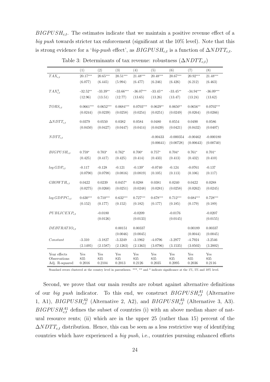$BIGPUSH_{c,t}$ . The estimates indicate that we maintain a positive revenue effect of a big push towards stricter tax enforcement (significant at the 10% level). Note that this is strong evidence for a 'big-push effect', as  $BIGPUSH_{c,t}$  is a function of  $\Delta NDTT_{c,t}$ .

<span id="page-25-0"></span>

|                              | (1)         | (2)         | (3)         | (4)         | (5)        | (6)         | (7)         | (8)         |
|------------------------------|-------------|-------------|-------------|-------------|------------|-------------|-------------|-------------|
| $TAX_{c,t}$                  | $20.17***$  | $20.65***$  | $20.51***$  | $21.48***$  | $20.48***$ | 20.67***    | $20.92***$  | $21.48***$  |
|                              | (6.077)     | (6.445)     | (5.994)     | (6.477)     | (6.246)    | (6.426)     | (6.212)     | (6.463)     |
| $TAX_{c,t}^2$                | $-32.52**$  | $-33.39**$  | $-33.66***$ | $-36.07***$ | $-33.45**$ | $-33.45**$  | $-34.94***$ | $-36.09***$ |
|                              | (12.96)     | (13.51)     | (12.77)     | (13.65)     | (13.26)    | (13.47)     | (13.24)     | (13.62)     |
|                              |             |             |             |             |            |             |             |             |
| $TORS_{c,t}$                 | $0.0661***$ | $0.0652***$ | $0.0684***$ | $0.0703***$ | $0.0629**$ | $0.0650**$  | $0.0656**$  | $0.0702***$ |
|                              | (0.0244)    | (0.0239)    | (0.0258)    | (0.0254)    | (0.0251)   | (0.0249)    | (0.0264)    | (0.0266)    |
| $\Delta NDTT_{c,t}$          | 0.0379      | 0.0550      | 0.0382      | 0.0584      | 0.0480     | 0.0554      | 0.0490      | 0.0586      |
|                              | (0.0450)    | (0.0427)    | (0.0447)    | (0.0414)    | (0.0439)   | (0.0421)    | (0.0432)    | (0.0407)    |
|                              |             |             |             |             |            |             |             |             |
| $NDTT_{c,t}$                 |             |             |             |             | $-0.00433$ | $-0.000354$ | $-0.00462$  | $-0.000180$ |
|                              |             |             |             |             | (0.00641)  | (0.00728)   | (0.00643)   | (0.00740)   |
|                              |             |             | $0.762*$    | $0.700*$    | $0.757*$   |             |             |             |
| $BIGPUSH_{c,t}$              | $0.759*$    | $0.703*$    |             |             |            | $0.704*$    | $0.761*$    | $0.701*$    |
|                              | (0.425)     | (0.417)     | (0.425)     | (0.414)     | (0.433)    | (0.413)     | (0.432)     | (0.410)     |
| $log GDP_{ct}$               | $-0.117$    | $-0.128$    | $-0.121$    | $-0.139*$   | $-0.0740$  | $-0.124$    | $-0.0761$   | $-0.137$    |
|                              | (0.0790)    | (0.0798)    | (0.0816)    | (0.0819)    | (0.105)    | (0.113)     | (0.106)     | (0.117)     |
|                              |             |             |             |             |            |             |             |             |
| $GROWTH_{c,t}$               | 0.0422      | 0.0239      | $0.0457*$   | 0.0288      | 0.0381     | 0.0240      | 0.0422      | 0.0288      |
|                              | (0.0275)    | (0.0260)    | (0.0251)    | (0.0248)    | (0.0281)   | (0.0258)    | (0.0262)    | (0.0245)    |
| $log GDPPC_{c.t}$            | $0.630***$  | $0.710***$  | $0.632***$  | $0.727***$  | $0.678***$ | $0.712***$  | $0.684***$  | $0.728***$  |
|                              | (0.152)     | (0.177)     | (0.152)     | (0.182)     | (0.177)    | (0.185)     | (0.179)     | (0.189)     |
|                              |             |             |             |             |            |             |             |             |
| $PUBLICEXP_{c,t}$            |             | $-0.0180$   |             | $-0.0209$   |            | $-0.0176$   |             | $-0.0207$   |
|                              |             | (0.0126)    |             | (0.0133)    |            | (0.0145)    |             | (0.0155)    |
| $DEBTRATIO_{c,t}$            |             |             | 0.00151     | 0.00337     |            |             | 0.00189     | 0.00337     |
|                              |             |             | (0.0046)    | (0.0045)    |            |             | (0.0044)    | (0.0045)    |
| Constant                     | $-3.310$    | $-3.1827$   | $-3.3249$   | $-3.1962$   | $-4.0796$  | $-3.2977$   | $-4.7924$   | $-3.2546$   |
|                              | (2.1495)    | (2.1587)    | (2.1263)    | (2.1363)    | (3.0796)   | (3.1535)    | (3.0502)    | (3.2002)    |
|                              |             |             |             |             |            |             |             |             |
| Year effects<br>Observations | Yes<br>835  | Yes<br>835  | Yes<br>835  | Yes<br>835  | Yes<br>835 | Yes<br>835  | Yes<br>835  | Yes<br>835  |
| Adj. R-squared               | 0.2016      | 0.2104      | 0.2013      | 0.2126      | 0.2035     | 0.2095      | 0.2036      | 0.2116      |

Table 3: Determinants of tax revenue: robustness  $(\Delta NDTT_{c,t})$ 

Standard errors clustered at the country level in parentheses. \*\*\*, \*\* and \* indicate significance at the 1%, 5% and 10% level.

Second, we prove that our main results are robust against alternative definitions of our *big push* indicator. To this end, we construct  $BIGPUSH_{c,t}^{A1}$  (Alternative 1, A1),  $BIGPUSH_{c,t}^{A2}$  (Alternative 2, A2), and  $BIGPUSH_{c,t}^{A3}$  (Alternative 3, A3).  $BIGPUSH<sub>c,t</sub><sup>A1</sup>$  defines the subset of countries (i) with an above median share of natural resource rents; (ii) which are in the upper 25 (rather than 15) percent of the  $\Delta NDTT_{c,t}$  distribution. Hence, this can be seen as a less restrictive way of identifying countries which have experienced a big push, i.e., countries pursuing enhanced efforts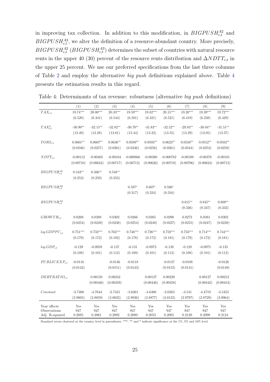in improving tax collection. In addition to this modification, in  $BIGPUSH_{c,t}^{A2}$  and  $BIGPUSH_{c,t}^{A3}$ , we alter the definition of a resource-abundant country. More precisely,  $BIGPUSH_{c,t}^{A2}$  (BIGPUSH $_{c,t}^{A3}$ ) determines the subset of countries with natural resource rents in the upper 40 (30) percent of the resource rents distribution and  $\Delta NDTT_{c,t}$  in the upper 25 percent. We use our preferred specifications from the last three columns of Table [2](#page-23-0) and employ the alternative big push definitions explained above. Table [4](#page-26-0) presents the estimation results in this regard.

|                      | (1)                     | (2)                     | (3)                   | (4)                      | (5)          | (6)                      | (7)                     | (8)                     | (9)                     |
|----------------------|-------------------------|-------------------------|-----------------------|--------------------------|--------------|--------------------------|-------------------------|-------------------------|-------------------------|
| $TAX_{c,t}$          | $19.74***$              | $20.00***$              | 20.33***              | $19.59***$               | 19.82***     | $20.15***$               | $19.20***$              | 19.39***                | $19.72***$              |
|                      | (6.520)                 | (6.341)                 | (6.544)               | (6.501)                  | (6.321)      | (6.521)                  | (6.419)                 | (6.238)                 | (6.429)                 |
| $TAX_{c,t}^2$        | $-30.90**$              | $-32.15**$              | $-32.82**$            | $-30.70**$               | $-31.83**$   | $-32.52**$               | $-29.83**$              | $-30.84**$              | $-31.51**$              |
|                      | (13.49)                 | (13.28)                 | (13.61)               | (13.44)                  | (13.22)      | (13.55)                  | (13.29)                 | (13.05)                 | (13.37)                 |
| $TORS_{c.t}$         | $0.0601**$              | $0.0607**$              | $0.0636**$            | $0.0589**$               | $0.0593**$   | $0.0623**$               | $0.0550**$              | $0.0552**$              | $0.0582**$              |
|                      | (0.0246)                | (0.0257)                | (0.0261)              | (0.0246)                 | (0.0256)     | (0.0261)                 | (0.0244)                | (0.0253)                | (0.0258)                |
|                      |                         |                         |                       |                          |              |                          |                         |                         |                         |
| $NDTT_{c,t}$         | $-0.00112$<br>(0.00710) | $-0.00405$<br>(0.00624) | $-0.00104$            | $-0.000866$<br>(0.00713) | $-0.00380$   | $-0.000782$<br>(0.00719) | $-0.00109$<br>(0.00706) | $-0.00378$<br>(0.00624) | $-0.00101$<br>(0.00712) |
|                      |                         |                         | (0.00717)             |                          | (0.00626)    |                          |                         |                         |                         |
| $BIGPUSH^{A1}_{c.t}$ | $0.543**$               | $0.566**$               | $0.548**$             |                          |              |                          |                         |                         |                         |
|                      | (0.253)                 | (0.259)                 | (0.253)               |                          |              |                          |                         |                         |                         |
| $BIGPUSH^{A2}_{ct}$  |                         |                         |                       | $0.587*$                 | $0.607*$     | $0.586*$                 |                         |                         |                         |
|                      |                         |                         |                       | (0.317)                  | (0.324)      | (0.316)                  |                         |                         |                         |
| $BIGPUSH_{ct}^{A3}$  |                         |                         |                       |                          |              |                          | $0.815**$               | $0.845**$               | $0.808**$               |
|                      |                         |                         |                       |                          |              |                          | (0.336)                 | (0.347)                 | (0.333)                 |
|                      |                         |                         |                       |                          |              |                          |                         |                         |                         |
| $GROWTH_{c,t}$       | 0.0269                  | 0.0388                  | 0.0302                | 0.0266                   | $\,0.0385\,$ | 0.0298                   | 0.0273                  | 0.0381                  | 0.0302                  |
|                      | (0.0254)                | (0.0249)                | (0.0238)              | (0.0254)                 | (0.0248)     | (0.0237)                 | (0.0255)                | (0.0247)                | (0.0238)                |
| $log GDPPC_{c.t}$    | $0.751***$              | $0.732***$              | $0.763***$            | $0.746***$               | $0.726***$   | $0.758***$               | $0.733***$              | $0.714***$              | $0.744***$              |
|                      | (0.179)                 | (0.172)                 | (0.182)               | (0.178)                  | (0.172)      | (0.181)                  | (0.179)                 | (0.172)                 | (0.181)                 |
| $log GDP_{c,t}$      | $-0.129$                | $-0.0959$               | $\text{-}0.137$       | $-0.131$                 | $-0.0973$    | $-0.138$                 | $-0.128$                | $-0.0975$               | $-0.135$                |
|                      | (0.108)                 | (0.101)                 | (0.112)               | (0.109)                  | (0.101)      | (0.112)                  | (0.108)                 | (0.101)                 | (0.112)                 |
|                      |                         |                         |                       |                          |              |                          |                         |                         |                         |
| $PUBLICEXP_{c.t}$    | $-0.0116$<br>(0.0142)   |                         | $-0.0136$<br>(0.0151) | $-0.0118$<br>(0.0143)    |              | $-0.0137$<br>(0.0152)    | $-0.0108$<br>(0.0141)   |                         | $-0.0126$<br>(0.0149)   |
|                      |                         |                         |                       |                          |              |                          |                         |                         |                         |
| $DEBTRATIO_{c,t}$    |                         | 0.00150                 | 0.00242               |                          | 0.00137      | 0.00229                  |                         | 0.00127                 | 0.00212                 |
|                      |                         | (0.00446)               | (0.00459)             |                          | (0.00446)    | (0.00458)                |                         | (0.00442)               | (0.00454)               |
| Constant             | $-3.7460$               | $-4.7644$               | $-3.7431$             | $-3.6261$                | $-4.6486$    | $-3.6263$                | $-3.541$                | $-4.4719$               | $-3.5455$               |
|                      | (2.9805)                | (2.8859)                | (3.0022)              | (2.9936)                 | (2.8877)     | (3.0123)                 | (2.9797)                | (2.8729)                | (2.0964)                |
| Year effects         | Yes                     | Yes                     | Yes                   | Yes                      | Yes          | Yes                      | Yes                     | Yes                     | Yes                     |
| Observations         | 947                     | 947                     | 947                   | 947                      | 947          | 947                      | 947                     | 947                     | 947                     |
| Adj. R-squared       | 0.2085                  | 0.2061                  | 0.2092                | 0.2080                   | 0.2053       | 0.2085                   | 0.2120                  | 0.2098                  | 0.2124                  |

<span id="page-26-0"></span>Table 4: Determinants of tax revenue: robustness (alternative big push definitions)

Standard errors clustered at the country level in parentheses. \*\*\*, \*\* and \* indicate significance at the 1%, 5% and 10% level.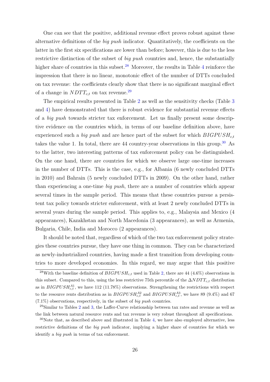One can see that the positive, additional revenue effect proves robust against these alternative definitions of the big push indicator. Quantitatively, the coefficients on the latter in the first six specifications are lower than before; however, this is due to the less restrictive distinction of the subset of *big push* countries and, hence, the substantially higher share of countries in this subset.<sup>[28](#page-27-0)</sup> Moreover, the results in Table [4](#page-26-0) reinforce the impression that there is no linear, monotonic effect of the number of DTTs concluded on tax revenue: the coefficients clearly show that there is no significant marginal effect of a change in  $NDTT_{c,t}$  on tax revenue.<sup>[29](#page-27-1)</sup>

The empirical results presented in Table [2](#page-23-0) as well as the sensitivity checks (Table [3](#page-25-0) and [4\)](#page-26-0) have demonstrated that there is robust evidence for substantial revenue effects of a big push towards stricter tax enforcement. Let us finally present some descriptive evidence on the countries which, in terms of our baseline definition above, have experienced such a big push and are hence part of the subset for which  $BIGPUSH_{c,t}$ takes the value 1. In total, there are 44 country-year observations in this group.<sup>[30](#page-27-2)</sup> As to the latter, two interesting patterns of tax enforcement policy can be distinguished. On the one hand, there are countries for which we observe large one-time increases in the number of DTTs. This is the case, e.g., for Albania (6 newly concluded DTTs in 2010) and Bahrain (5 newly concluded DTTs in 2009). On the other hand, rather than experiencing a one-time big push, there are a number of countries which appear several times in the sample period. This means that these countries pursue a persistent tax policy towards stricter enforcement, with at least 2 newly concluded DTTs in several years during the sample period. This applies to, e.g., Malaysia and Mexico (4 appearances), Kazakhstan and North Macedonia (3 appearances), as well as Armenia, Bulgaria, Chile, India and Morocco (2 appearances).

It should be noted that, regardless of which of the two tax enforcement policy strategies these countries pursue, they have one thing in common. They can be characterized as newly-industrialized countries, having made a first transition from developing countries to more developed economies. In this regard, we may argue that this positive

<span id="page-27-0"></span><sup>&</sup>lt;sup>28</sup>With the baseline definition of  $BIGPUSH_{c,t}$  used in Table [2,](#page-23-0) there are 44 (4.6%) observations in this subset. Compared to this, using the less restrictive 75th percentile of the  $\Delta NDTT_{c,t}$  distribution as in  $BIGPUSH_{c,t}^{A1}$ , we have 112 (11.78%) observations. Strengthening the restrictions with respect to the resource rents distribution as in  $BIGPUSH_{c,t}^{A2}$  and  $BIGPUSH_{c,t}^{A3}$ , we have 89 (9.4%) and 67  $(7.1\%)$  observations, respectively, in the subset of *big push* countries.

<span id="page-27-1"></span> $^{29}$  $^{29}$  $^{29}$ Similar to Tables 2 and [3,](#page-25-0) the Laffer-Curve relationship between tax rates and revenue as well as the link between natural resource rents and tax revenue is very robust throughout all specifications.

<span id="page-27-2"></span> $30$ Note that, as described above and illustrated in Table [4,](#page-26-0) we have also employed alternative, less restrictive definitions of the big push indicator, implying a higher share of countries for which we identify a big push in terms of tax enforcement.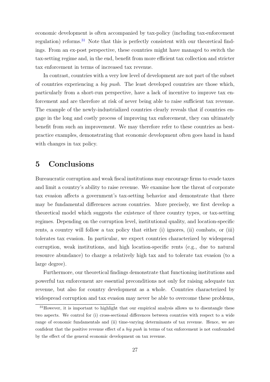economic development is often accompanied by tax-policy (including tax-enforcement regulation) reforms.<sup>[31](#page-28-1)</sup> Note that this is perfectly consistent with our theoretical findings. From an ex-post perspective, these countries might have managed to switch the tax-setting regime and, in the end, benefit from more efficient tax collection and stricter tax enforcement in terms of increased tax revenue.

In contrast, countries with a very low level of development are not part of the subset of countries experiencing a big push. The least developed countries are those which, particularly from a short-run perspective, have a lack of incentive to improve tax enforcement and are therefore at risk of never being able to raise sufficient tax revenue. The example of the newly-industrialized countries clearly reveals that if countries engage in the long and costly process of improving tax enforcement, they can ultimately benefit from such an improvement. We may therefore refer to these countries as bestpractice examples, demonstrating that economic development often goes hand in hand with changes in tax policy.

### <span id="page-28-0"></span>5 Conclusions

Bureaucratic corruption and weak fiscal institutions may encourage firms to evade taxes and limit a country's ability to raise revenue. We examine how the threat of corporate tax evasion affects a government's tax-setting behavior and demonstrate that there may be fundamental differences across countries. More precisely, we first develop a theoretical model which suggests the existence of three country types, or tax-setting regimes. Depending on the corruption level, institutional quality, and location-specific rents, a country will follow a tax policy that either (i) ignores, (ii) combats, or (iii) tolerates tax evasion. In particular, we expect countries characterized by widespread corruption, weak institutions, and high location-specific rents (e.g., due to natural resource abundance) to charge a relatively high tax and to tolerate tax evasion (to a large degree).

Furthermore, our theoretical findings demonstrate that functioning institutions and powerful tax enforcement are essential preconditions not only for raising adequate tax revenue, but also for country development as a whole. Countries characterized by widespread corruption and tax evasion may never be able to overcome these problems,

<span id="page-28-1"></span> $31$ However, it is important to highlight that our empirical analysis allows us to disentangle these two aspects. We control for (i) cross-sectional differences between countries with respect to a wide range of economic fundamentals and (ii) time-varying determinants of tax revenue. Hence, we are confident that the positive revenue effect of a big push in terms of tax enforcement is not confounded by the effect of the general economic development on tax revenue.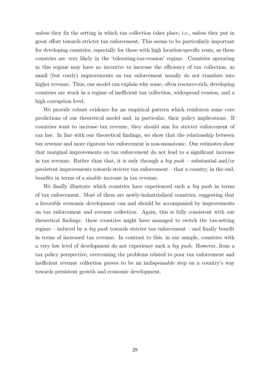unless they fix the setting in which tax collection takes place, i.e., unless they put in great effort towards stricter tax enforcement. This seems to be particularly important for developing countries, especially for those with high location-specific rents, as these countries are very likely in the 'tolerating-tax-evasion' regime. Countries operating in this regime may have no incentive to increase the efficiency of tax collection, as small (but costly) improvements on tax enforcement usually do not translate into higher revenue. Thus, our model can explain why some, often resource-rich, developing countries are stuck in a regime of inefficient tax collection, widespread evasion, and a high corruption level.

We provide robust evidence for an empirical pattern which reinforces some core predictions of our theoretical model and, in particular, their policy implications. If countries want to increase tax revenue, they should aim for stricter enforcement of tax law. In line with our theoretical findings, we show that the relationship between tax revenue and more rigorous tax enforcement is non-monotonic. Our estimates show that marginal improvements on tax enforcement do not lead to a significant increase in tax revenue. Rather than that, it is only through a big  $push$  – substantial and/or persistent improvements towards stricter tax enforcement – that a country, in the end, benefits in terms of a sizable increase in tax revenue.

We finally illustrate which countries have experienced such a big push in terms of tax enforcement. Most of them are newly-industrialized countries, suggesting that a favorable economic development can and should be accompanied by improvements on tax enforcement and revenue collection. Again, this is fully consistent with our theoretical findings: these countries might have managed to switch the tax-setting regime – induced by a *big push* towards stricter tax enforcement – and finally benefit in terms of increased tax revenue. In contrast to this, in our sample, countries with a very low level of development do not experience such a big push. However, from a tax policy perspective, overcoming the problems related to poor tax enforcement and inefficient revenue collection proves to be an indispensable step on a country's way towards persistent growth and economic development.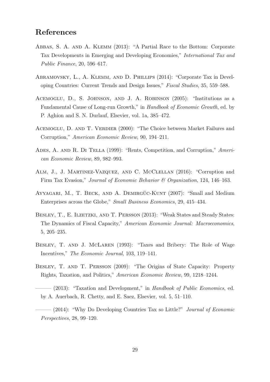### References

- <span id="page-30-0"></span>Abbas, S. A. and A. Klemm (2013): "A Partial Race to the Bottom: Corporate Tax Developments in Emerging and Developing Economies," International Tax and Public Finance, 20, 596–617.
- <span id="page-30-1"></span>Abramovsky, L., A. Klemm, and D. Phillips (2014): "Corporate Tax in Developing Countries: Current Trends and Design Issues," Fiscal Studies, 35, 559–588.
- <span id="page-30-8"></span>Acemoglu, D., S. Johnson, and J. A. Robinson (2005): "Institutions as a Fundamental Cause of Long-run Growth," in Handbook of Economic Growth, ed. by P. Aghion and S. N. Durlauf, Elsevier, vol. 1a, 385–472.
- <span id="page-30-9"></span>ACEMOGLU, D. AND T. VERDIER (2000): "The Choice between Market Failures and Corruption," American Economic Review, 90, 194–211.
- <span id="page-30-10"></span>ADES, A. AND R. DI TELLA (1999): "Rents, Competition, and Corruption," American Economic Review, 89, 982–993.
- <span id="page-30-2"></span>Alm, J., J. Martinez-Vazquez, and C. McClellan (2016): "Corruption and Firm Tax Evasion," Journal of Economic Behavior & Organization, 124, 146–163.
- <span id="page-30-11"></span>AYYAGARI, M., T. BECK, AND A. DEMIRGÜC-KUNT (2007): "Small and Medium Enterprises across the Globe," Small Business Economics, 29, 415–434.
- <span id="page-30-7"></span>BESLEY, T., E. ILZETZKI, AND T. PERSSON (2013): "Weak States and Steady States: The Dynamics of Fiscal Capacity," American Economic Journal: Macroeconomics, 5, 205–235.
- <span id="page-30-3"></span>BESLEY, T. AND J. MCLAREN (1993): "Taxes and Bribery: The Role of Wage Incentives," The Economic Journal, 103, 119–141.
- <span id="page-30-6"></span>Besley, T. and T. Persson (2009): "The Origins of State Capacity: Property Rights, Taxation, and Politics," American Economic Review, 99, 1218–1244.
- <span id="page-30-5"></span> $-$  (2013): "Taxation and Development," in Handbook of Public Economics, ed. by A. Auerbach, R. Chetty, and E. Saez, Elsevier, vol. 5, 51–110.
- <span id="page-30-4"></span> $(2014)$ : "Why Do Developing Countries Tax so Little?" *Journal of Economic* Perspectives, 28, 99–120.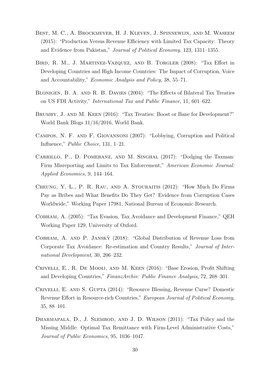- <span id="page-31-2"></span>Best, M. C., A. Brockmeyer, H. J. Kleven, J. Spinnewijn, and M. Waseem (2015): "Production Versus Revenue Efficiency with Limited Tax Capacity: Theory and Evidence from Pakistan," Journal of Political Economy, 123, 1311–1355.
- <span id="page-31-1"></span>Bird, R. M., J. Martinez-Vazquez, and B. Torgler (2008): "Tax Effort in Developing Countries and High Income Countries: The Impact of Corruption, Voice and Accountability," Economic Analysis and Policy, 38, 55–71.
- <span id="page-31-5"></span>Blonigen, B. A. and R. B. Davies (2004): "The Effects of Bilateral Tax Treaties on US FDI Activity," International Tax and Public Finance, 11, 601–622.
- <span id="page-31-6"></span>Brumby, J. and M. Keen (2016): "Tax Treaties: Boost or Bane for Development?" World Bank Blogs 11/16/2016, World Bank.
- <span id="page-31-11"></span>Campos, N. F. and F. Giovannoni (2007): "Lobbying, Corruption and Political Influence," Public Choice, 131, 1–21.
- <span id="page-31-4"></span>Carrillo, P., D. Pomeranz, and M. Singhal (2017): "Dodging the Taxman: Firm Misreporting and Limits to Tax Enforcement," American Economic Journal: Applied Economics, 9, 144–164.
- <span id="page-31-0"></span>Cheung, Y. L., P. R. Rau, and A. Stouraitis (2012): "How Much Do Firms Pay as Bribes and What Benefits Do They Get? Evidence from Corruption Cases Worldwide," Working Paper 17981, National Bureau of Economic Research.
- <span id="page-31-8"></span>Cobham, A. (2005): "Tax Evasion, Tax Avoidance and Development Finance," QEH Working Paper 129, University of Oxford.
- <span id="page-31-9"></span>Cobham, A. and P. Jansky` (2018): "Global Distribution of Revenue Loss from Corporate Tax Avoidance: Re-estimation and Country Results," Journal of International Development, 30, 206–232.
- <span id="page-31-10"></span>Crivelli, E., R. De Mooij, and M. Keen (2016): "Base Erosion, Profit Shifting and Developing Countries," FinanzArchiv: Public Finance Analysis, 72, 268–301.
- <span id="page-31-7"></span>CRIVELLI, E. AND S. GUPTA (2014): "Resource Blessing, Revenue Curse? Domestic Revenue Effort in Resource-rich Countries," European Journal of Political Economy, 35, 88–101.
- <span id="page-31-3"></span>DHARMAPALA, D., J. SLEMROD, AND J. D. WILSON (2011): "Tax Policy and the Missing Middle: Optimal Tax Remittance with Firm-Level Administrative Costs," Journal of Public Economics, 95, 1036–1047.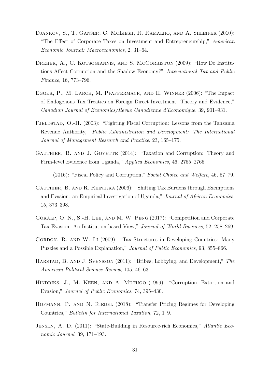- <span id="page-32-10"></span>Djankov, S., T. Ganser, C. McLiesh, R. Ramalho, and A. Shleifer (2010): "The Effect of Corporate Taxes on Investment and Entrepreneurship," American Economic Journal: Macroeconomics, 2, 31–64.
- <span id="page-32-1"></span>DREHER, A., C. KOTSOGIANNIS, AND S. MCCORRISTON (2009): "How Do Institutions Affect Corruption and the Shadow Economy?" International Tax and Public Finance, 16, 773–796.
- <span id="page-32-3"></span>Egger, P., M. Larch, M. Pfaffermayr, and H. Winner (2006): "The Impact of Endogenous Tax Treaties on Foreign Direct Investment: Theory and Evidence," Canadian Journal of Economics/Revue Canadienne d'Economique, 39, 901–931.
- <span id="page-32-9"></span>FJELDSTAD, O.-H. (2003): "Fighting Fiscal Corruption: Lessons from the Tanzania Revenue Authority," Public Administration and Development: The International Journal of Management Research and Practice, 23, 165–175.
- <span id="page-32-6"></span>GAUTHIER, B. AND J. GOYETTE (2014): "Taxation and Corruption: Theory and Firm-level Evidence from Uganda," Applied Economics, 46, 2755–2765.
- <span id="page-32-7"></span> $(2016)$ : "Fiscal Policy and Corruption," *Social Choice and Welfare*, 46, 57–79.
- <span id="page-32-11"></span>Gauthier, B. and R. Reinikka (2006): "Shifting Tax Burdens through Exemptions and Evasion: an Empirical Investigation of Uganda," Journal of African Economies, 15, 373–398.
- <span id="page-32-0"></span>Gokalp, O. N., S.-H. Lee, and M. W. Peng (2017): "Competition and Corporate Tax Evasion: An Institution-based View," Journal of World Business, 52, 258–269.
- <span id="page-32-2"></span>GORDON, R. AND W. LI (2009): "Tax Structures in Developing Countries: Many Puzzles and a Possible Explanation," Journal of Public Economics, 93, 855–866.
- <span id="page-32-12"></span>Harstad, B. and J. Svensson (2011): "Bribes, Lobbying, and Development," The American Political Science Review, 105, 46–63.
- <span id="page-32-8"></span>Hindriks, J., M. Keen, and A. Muthoo (1999): "Corruption, Extortion and Evasion," Journal of Public Economics, 74, 395–430.
- <span id="page-32-4"></span>HOFMANN, P. AND N. RIEDEL (2018): "Transfer Pricing Regimes for Developing Countries," Bulletin for International Taxation, 72, 1–9.
- <span id="page-32-5"></span>Jensen, A. D. (2011): "State-Building in Resource-rich Economies," Atlantic Economic Journal, 39, 171–193.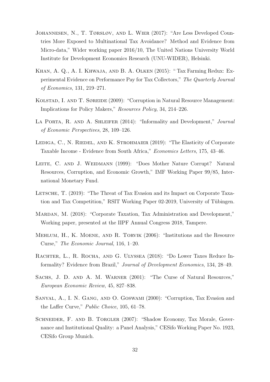- <span id="page-33-10"></span>Johannesen, N., T. Tørsløv, and L. Wier (2017): "Are Less Developed Countries More Exposed to Multinational Tax Avoidance? Method and Evidence from Micro-data," Wider working paper 2016/10, The United Nations University World Institute for Development Economics Research (UNU-WIDER), Helsinki.
- <span id="page-33-0"></span>Khan, A. Q., A. I. Khwaja, and B. A. Olken (2015): " Tax Farming Redux: Experimental Evidence on Performance Pay for Tax Collectors," The Quarterly Journal of Economics, 131, 219–271.
- <span id="page-33-7"></span>Kolstad, I. and T. Søreide (2009): "Corruption in Natural Resource Management: Implications for Policy Makers," Resources Policy, 34, 214–226.
- <span id="page-33-1"></span>LA PORTA, R. AND A. SHLEIFER (2014): "Informality and Development," Journal of Economic Perspectives, 28, 109–126.
- <span id="page-33-4"></span>LEDIGA, C., N. RIEDEL, AND K. STROHMAIER (2019): "The Elasticity of Corporate Taxable Income - Evidence from South Africa," Economics Letters, 175, 43–46.
- <span id="page-33-8"></span>LEITE, C. AND J. WEIDMANN (1999): "Does Mother Nature Corrupt? Natural Resources, Corruption, and Economic Growth," IMF Working Paper 99/85, International Monetary Fund.
- <span id="page-33-11"></span>LETSCHE, T. (2019): "The Threat of Tax Evasion and its Impact on Corporate Taxation and Tax Competition," RSIT Working Paper 02-2019, University of Tübingen.
- <span id="page-33-12"></span>Mardan, M. (2018): "Corporate Taxation, Tax Administration and Development," Working paper, presented at the IIPF Annual Congress 2018, Tampere.
- <span id="page-33-5"></span>Mehlum, H., K. Moene, and R. Torvik (2006): "Institutions and the Resource Curse," The Economic Journal, 116, 1–20.
- <span id="page-33-2"></span>RACHTER, L., R. ROCHA, AND G. ULYSSEA (2018): "Do Lower Taxes Reduce Informality? Evidence from Brazil," Journal of Development Economics, 134, 28–49.
- <span id="page-33-6"></span>SACHS, J. D. AND A. M. WARNER (2001): "The Curse of Natural Resources," European Economic Review, 45, 827–838.
- <span id="page-33-9"></span>Sanyal, A., I. N. Gang, and O. Goswami (2000): "Corruption, Tax Evasion and the Laffer Curve," Public Choice, 105, 61–78.
- <span id="page-33-3"></span>SCHNEIDER, F. AND B. TORGLER (2007): "Shadow Economy, Tax Morale, Governance and Institutional Quality: a Panel Analysis," CESifo Working Paper No. 1923, CESifo Group Munich.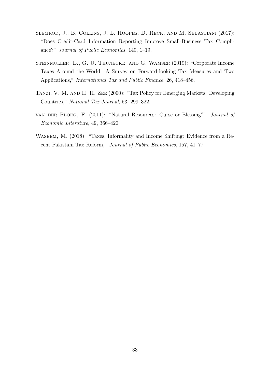- <span id="page-34-3"></span>Slemrod, J., B. Collins, J. L. Hoopes, D. Reck, and M. Sebastiani (2017): "Does Credit-Card Information Reporting Improve Small-Business Tax Compliance?" Journal of Public Economics, 149, 1–19.
- <span id="page-34-0"></span>STEINMÜLLER, E., G. U. THUNECKE, AND G. WAMSER (2019): "Corporate Income Taxes Around the World: A Survey on Forward-looking Tax Measures and Two Applications," International Tax and Public Finance, 26, 418–456.
- <span id="page-34-1"></span>Tanzi, V. M. and H. H. Zee (2000): "Tax Policy for Emerging Markets: Developing Countries," National Tax Journal, 53, 299–322.
- <span id="page-34-2"></span>van der Ploeg, F. (2011): "Natural Resources: Curse or Blessing?" Journal of Economic Literature, 49, 366–420.
- <span id="page-34-4"></span>Waseem, M. (2018): "Taxes, Informality and Income Shifting: Evidence from a Recent Pakistani Tax Reform," Journal of Public Economics, 157, 41–77.